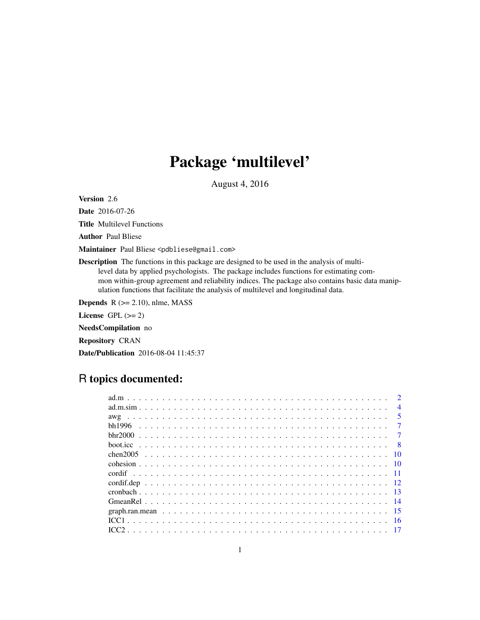# Package 'multilevel'

August 4, 2016

<span id="page-0-0"></span>Version 2.6

Date 2016-07-26

Title Multilevel Functions

Author Paul Bliese

Maintainer Paul Bliese <pdbliese@gmail.com>

Description The functions in this package are designed to be used in the analysis of multilevel data by applied psychologists. The package includes functions for estimating common within-group agreement and reliability indices. The package also contains basic data manipulation functions that facilitate the analysis of multilevel and longitudinal data.

**Depends**  $R$  ( $>= 2.10$ ), nlme, MASS License GPL  $(>= 2)$ NeedsCompilation no Repository CRAN Date/Publication 2016-08-04 11:45:37

# R topics documented:

|  | $\overline{4}$  |
|--|-----------------|
|  | -5              |
|  |                 |
|  |                 |
|  |                 |
|  | $\overline{10}$ |
|  |                 |
|  |                 |
|  |                 |
|  |                 |
|  |                 |
|  |                 |
|  | -16             |
|  |                 |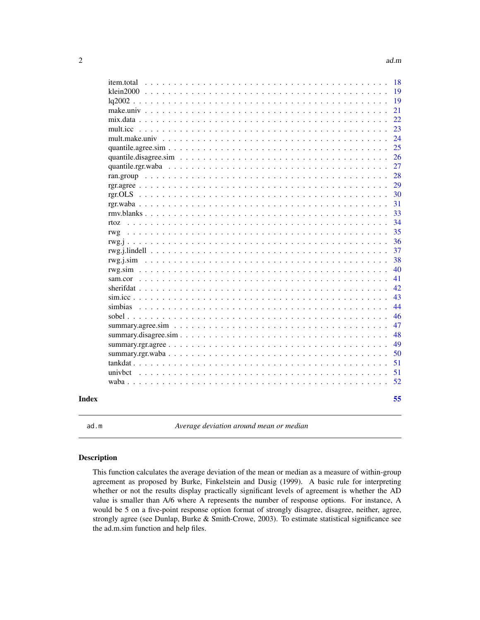<span id="page-1-0"></span>

| Index |                   | 55       |
|-------|-------------------|----------|
|       |                   | 52       |
|       |                   | 51       |
|       |                   | 51       |
|       |                   | 50       |
|       |                   | 49       |
|       |                   | 48       |
|       |                   | 47       |
|       |                   | 46       |
|       |                   | 44       |
|       |                   | 43       |
|       |                   | 42       |
|       |                   | 41       |
|       |                   | 40       |
|       | rwg.i.sim         | 38       |
|       |                   | 37       |
|       |                   | 36       |
|       | rwg               | 35       |
|       | rtoz.             | 34       |
|       |                   | 33       |
|       |                   | 31       |
|       |                   | 30       |
|       |                   | 29       |
|       |                   | 27<br>28 |
|       |                   | 26       |
|       |                   | 25       |
|       |                   | 24       |
|       |                   | 23       |
|       |                   | 22       |
|       |                   | 21       |
|       |                   | 19       |
|       |                   | 19       |
|       | <i>item.total</i> | 18       |
|       |                   |          |

<span id="page-1-1"></span>ad.m *Average deviation around mean or median*

# Description

This function calculates the average deviation of the mean or median as a measure of within-group agreement as proposed by Burke, Finkelstein and Dusig (1999). A basic rule for interpreting whether or not the results display practically significant levels of agreement is whether the AD value is smaller than A/6 where A represents the number of response options. For instance, A would be 5 on a five-point response option format of strongly disagree, disagree, neither, agree, strongly agree (see Dunlap, Burke & Smith-Crowe, 2003). To estimate statistical significance see the ad.m.sim function and help files.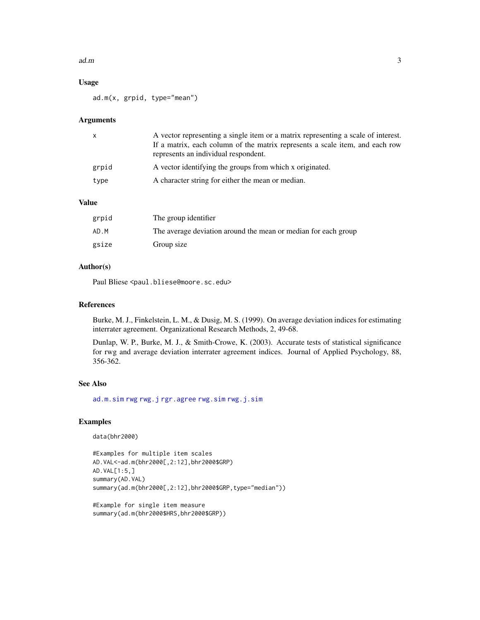#### <span id="page-2-0"></span> $ad.m$  3

# Usage

ad.m(x, grpid, type="mean")

# Arguments

| X     | A vector representing a single item or a matrix representing a scale of interest.<br>If a matrix, each column of the matrix represents a scale item, and each row<br>represents an individual respondent. |  |  |
|-------|-----------------------------------------------------------------------------------------------------------------------------------------------------------------------------------------------------------|--|--|
| grpid | A vector identifying the groups from which x originated.                                                                                                                                                  |  |  |
| type  | A character string for either the mean or median.                                                                                                                                                         |  |  |

# Value

| grpid | The group identifier                                           |
|-------|----------------------------------------------------------------|
| AD.M  | The average deviation around the mean or median for each group |
| gsize | Group size                                                     |

# Author(s)

Paul Bliese <paul.bliese@moore.sc.edu>

# References

Burke, M. J., Finkelstein, L. M., & Dusig, M. S. (1999). On average deviation indices for estimating interrater agreement. Organizational Research Methods, 2, 49-68.

Dunlap, W. P., Burke, M. J., & Smith-Crowe, K. (2003). Accurate tests of statistical significance for rwg and average deviation interrater agreement indices. Journal of Applied Psychology, 88, 356-362.

# See Also

[ad.m.sim](#page-3-1) [rwg](#page-34-1) [rwg.j](#page-35-1) [rgr.agree](#page-28-1) [rwg.sim](#page-39-1) [rwg.j.sim](#page-37-1)

```
data(bhr2000)
```

```
#Examples for multiple item scales
AD.VAL<-ad.m(bhr2000[,2:12],bhr2000$GRP)
AD.VAL[1:5,]
summary(AD.VAL)
summary(ad.m(bhr2000[,2:12],bhr2000$GRP,type="median"))
```

```
#Example for single item measure
summary(ad.m(bhr2000$HRS,bhr2000$GRP))
```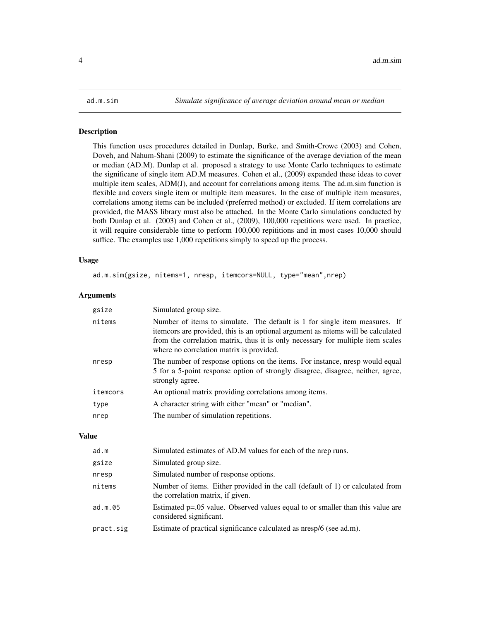<span id="page-3-1"></span><span id="page-3-0"></span>

This function uses procedures detailed in Dunlap, Burke, and Smith-Crowe (2003) and Cohen, Doveh, and Nahum-Shani (2009) to estimate the significance of the average deviation of the mean or median (AD.M). Dunlap et al. proposed a strategy to use Monte Carlo techniques to estimate the significane of single item AD.M measures. Cohen et al., (2009) expanded these ideas to cover multiple item scales, ADM(J), and account for correlations among items. The ad.m.sim function is flexible and covers single item or multiple item measures. In the case of multiple item measures, correlations among items can be included (preferred method) or excluded. If item correlations are provided, the MASS library must also be attached. In the Monte Carlo simulations conducted by both Dunlap et al. (2003) and Cohen et al., (2009), 100,000 repetitions were used. In practice, it will require considerable time to perform 100,000 repititions and in most cases 10,000 should suffice. The examples use 1,000 repetitions simply to speed up the process.

# Usage

ad.m.sim(gsize, nitems=1, nresp, itemcors=NULL, type="mean",nrep)

# **Arguments**

| gsize    | Simulated group size.                                                                                                                                                                                                                                                                         |  |  |
|----------|-----------------------------------------------------------------------------------------------------------------------------------------------------------------------------------------------------------------------------------------------------------------------------------------------|--|--|
| nitems   | Number of items to simulate. The default is 1 for single item measures. If<br>itemcors are provided, this is an optional argument as nitems will be calculated<br>from the correlation matrix, thus it is only necessary for multiple item scales<br>where no correlation matrix is provided. |  |  |
| nresp    | The number of response options on the items. For instance, nresp would equal<br>5 for a 5-point response option of strongly disagree, disagree, neither, agree,<br>strongly agree.                                                                                                            |  |  |
| itemcors | An optional matrix providing correlations among items.                                                                                                                                                                                                                                        |  |  |
| type     | A character string with either "mean" or "median".                                                                                                                                                                                                                                            |  |  |
| nrep     | The number of simulation repetitions.                                                                                                                                                                                                                                                         |  |  |
|          |                                                                                                                                                                                                                                                                                               |  |  |

#### Value

| ad.m      | Simulated estimates of AD.M values for each of the nrep runs.                                                       |  |  |
|-----------|---------------------------------------------------------------------------------------------------------------------|--|--|
| gsize     | Simulated group size.                                                                                               |  |  |
| nresp     | Simulated number of response options.                                                                               |  |  |
| nitems    | Number of items. Either provided in the call (default of 1) or calculated from<br>the correlation matrix, if given. |  |  |
| ad.m.05   | Estimated p=.05 value. Observed values equal to or smaller than this value are<br>considered significant.           |  |  |
| pract.sig | Estimate of practical significance calculated as nresp/6 (see ad.m).                                                |  |  |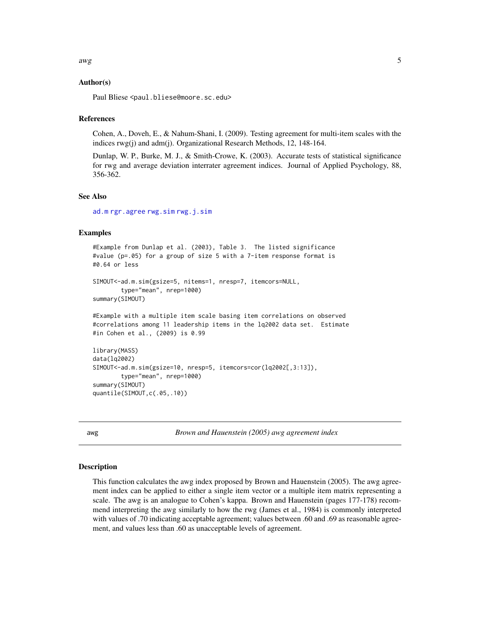# <span id="page-4-0"></span>Author(s)

Paul Bliese <paul.bliese@moore.sc.edu>

#### References

Cohen, A., Doveh, E., & Nahum-Shani, I. (2009). Testing agreement for multi-item scales with the indices rwg(j) and adm(j). Organizational Research Methods, 12, 148-164.

Dunlap, W. P., Burke, M. J., & Smith-Crowe, K. (2003). Accurate tests of statistical significance for rwg and average deviation interrater agreement indices. Journal of Applied Psychology, 88, 356-362.

#### See Also

[ad.m](#page-1-1) [rgr.agree](#page-28-1) [rwg.sim](#page-39-1) [rwg.j.sim](#page-37-1)

# Examples

```
#Example from Dunlap et al. (2003), Table 3. The listed significance
#value (p=.05) for a group of size 5 with a 7-item response format is
#0.64 or less
SIMOUT<-ad.m.sim(gsize=5, nitems=1, nresp=7, itemcors=NULL,
        type="mean", nrep=1000)
summary(SIMOUT)
#Example with a multiple item scale basing item correlations on observed
#correlations among 11 leadership items in the lq2002 data set. Estimate
#in Cohen et al., (2009) is 0.99
library(MASS)
data(lq2002)
SIMOUT<-ad.m.sim(gsize=10, nresp=5, itemcors=cor(lq2002[,3:13]),
       type="mean", nrep=1000)
summary(SIMOUT)
quantile(SIMOUT,c(.05,.10))
```
awg *Brown and Hauenstein (2005) awg agreement index*

#### **Description**

This function calculates the awg index proposed by Brown and Hauenstein (2005). The awg agreement index can be applied to either a single item vector or a multiple item matrix representing a scale. The awg is an analogue to Cohen's kappa. Brown and Hauenstein (pages 177-178) recommend interpreting the awg similarly to how the rwg (James et al., 1984) is commonly interpreted with values of .70 indicating acceptable agreement; values between .60 and .69 as reasonable agreement, and values less than .60 as unacceptable levels of agreement.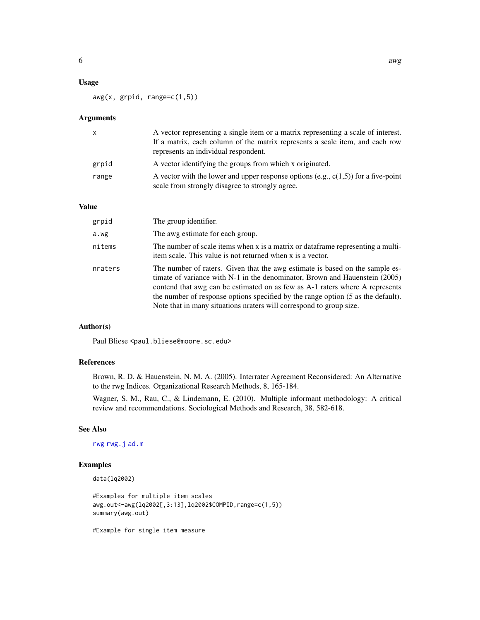<span id="page-5-0"></span>awg(x, grpid, range=c(1,5))

# Arguments

| X     | A vector representing a single item or a matrix representing a scale of interest.<br>If a matrix, each column of the matrix represents a scale item, and each row<br>represents an individual respondent. |
|-------|-----------------------------------------------------------------------------------------------------------------------------------------------------------------------------------------------------------|
| grpid | A vector identifying the groups from which x originated.                                                                                                                                                  |
| range | A vector with the lower and upper response options (e.g., $c(1,5)$ ) for a five-point<br>scale from strongly disagree to strongly agree.                                                                  |

# Value

| grpid   | The group identifier.                                                                                                                                                                                                                                                                                                                                                                                    |
|---------|----------------------------------------------------------------------------------------------------------------------------------------------------------------------------------------------------------------------------------------------------------------------------------------------------------------------------------------------------------------------------------------------------------|
| a.wg    | The awg estimate for each group.                                                                                                                                                                                                                                                                                                                                                                         |
| nitems  | The number of scale items when x is a matrix or dataframe representing a multi-<br>item scale. This value is not returned when x is a vector.                                                                                                                                                                                                                                                            |
| nraters | The number of raters. Given that the awg estimate is based on the sample es-<br>timate of variance with $N-1$ in the denominator, Brown and Hauenstein (2005)<br>contend that awg can be estimated on as few as A-1 raters where A represents<br>the number of response options specified by the range option (5 as the default).<br>Note that in many situations nraters will correspond to group size. |

# Author(s)

Paul Bliese <paul.bliese@moore.sc.edu>

# References

Brown, R. D. & Hauenstein, N. M. A. (2005). Interrater Agreement Reconsidered: An Alternative to the rwg Indices. Organizational Research Methods, 8, 165-184.

Wagner, S. M., Rau, C., & Lindemann, E. (2010). Multiple informant methodology: A critical review and recommendations. Sociological Methods and Research, 38, 582-618.

# See Also

[rwg](#page-34-1) [rwg.j](#page-35-1) [ad.m](#page-1-1)

# Examples

```
data(lq2002)
```

```
#Examples for multiple item scales
awg.out<-awg(lq2002[,3:13],lq2002$COMPID,range=c(1,5))
summary(awg.out)
```
#Example for single item measure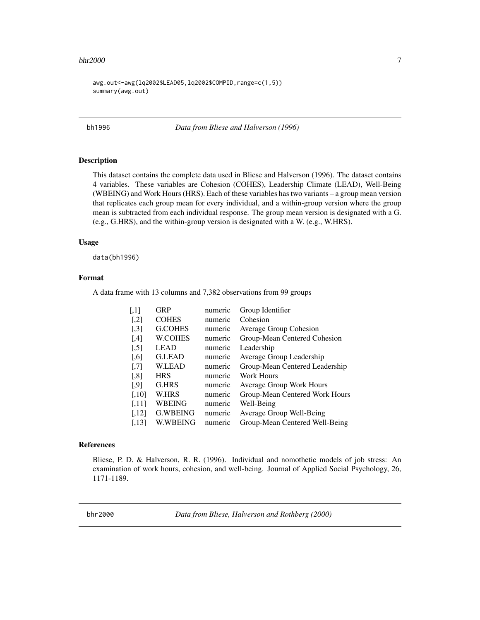#### <span id="page-6-0"></span> $bhr2000$   $7$

awg.out<-awg(lq2002\$LEAD05,lq2002\$COMPID,range=c(1,5)) summary(awg.out)

bh1996 *Data from Bliese and Halverson (1996)*

# Description

This dataset contains the complete data used in Bliese and Halverson (1996). The dataset contains 4 variables. These variables are Cohesion (COHES), Leadership Climate (LEAD), Well-Being (WBEING) and Work Hours (HRS). Each of these variables has two variants – a group mean version that replicates each group mean for every individual, and a within-group version where the group mean is subtracted from each individual response. The group mean version is designated with a G. (e.g., G.HRS), and the within-group version is designated with a W. (e.g., W.HRS).

# Usage

data(bh1996)

#### Format

A data frame with 13 columns and 7,382 observations from 99 groups

| $\left[ 1,1\right]$ | <b>GRP</b>      | numeric | Group Identifier                |
|---------------------|-----------------|---------|---------------------------------|
| $[$                 | <b>COHES</b>    | numeric | Cohesion                        |
| $[$                 | <b>G.COHES</b>  | numeric | Average Group Cohesion          |
| [4]                 | <b>W.COHES</b>  | numeric | Group-Mean Centered Cohesion    |
| $[$                 | <b>LEAD</b>     | numeric | Leadership                      |
| $[$ 0,6]            | <b>G.LEAD</b>   | numeric | Average Group Leadership        |
| $\left[ 7\right]$   | <b>W.LEAD</b>   | numeric | Group-Mean Centered Leadership  |
| [,8]                | <b>HRS</b>      | numeric | <b>Work Hours</b>               |
| $[$ .9]             | G.HRS           | numeric | <b>Average Group Work Hours</b> |
| $[0.10]$            | W.HRS           | numeric | Group-Mean Centered Work Hours  |
| [,11]               | <b>WBEING</b>   | numeric | Well-Being                      |
| $[,12]$             | <b>G.WBEING</b> | numeric | Average Group Well-Being        |
| [.13]               | <b>W.WBEING</b> | numeric | Group-Mean Centered Well-Being  |
|                     |                 |         |                                 |

# References

Bliese, P. D. & Halverson, R. R. (1996). Individual and nomothetic models of job stress: An examination of work hours, cohesion, and well-being. Journal of Applied Social Psychology, 26, 1171-1189.

bhr2000 *Data from Bliese, Halverson and Rothberg (2000)*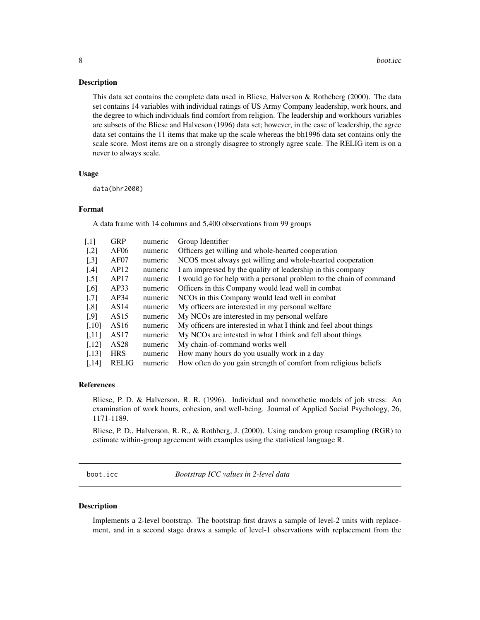<span id="page-7-0"></span>This data set contains the complete data used in Bliese, Halverson & Rotheberg (2000). The data set contains 14 variables with individual ratings of US Army Company leadership, work hours, and the degree to which individuals find comfort from religion. The leadership and workhours variables are subsets of the Bliese and Halveson (1996) data set; however, in the case of leadership, the agree data set contains the 11 items that make up the scale whereas the bh1996 data set contains only the scale score. Most items are on a strongly disagree to strongly agree scale. The RELIG item is on a never to always scale.

#### Usage

data(bhr2000)

#### Format

A data frame with 14 columns and 5,400 observations from 99 groups

| $\left\lceil,1\right\rceil$ | <b>GRP</b>       | numeric | Group Identifier                                                    |
|-----------------------------|------------------|---------|---------------------------------------------------------------------|
| $[$                         | AF06             | numeric | Officers get willing and whole-hearted cooperation                  |
| $\left[ .3 \right]$         | AF07             | numeric | NCOS most always get willing and whole-hearted cooperation          |
| [4]                         | AP12             | numeric | I am impressed by the quality of leadership in this company         |
| $\left[ .5 \right]$         | AP17             | numeric | I would go for help with a personal problem to the chain of command |
| $[0.6]$                     | AP33             | numeric | Officers in this Company would lead well in combat                  |
| $[0.7]$                     | AP34             | numeric | NCOs in this Company would lead well in combat                      |
| $\left[ 0.8\right]$         | AS14             | numeric | My officers are interested in my personal welfare                   |
| $[$ .9]                     | AS15             | numeric | My NCOs are interested in my personal welfare                       |
| $[0.10]$                    | AS16             | numeric | My officers are interested in what I think and feel about things    |
| [.11]                       | AS17             | numeric | My NCOs are intested in what I think and fell about things          |
| [,12]                       | AS <sub>28</sub> | numeric | My chain-of-command works well                                      |
| [.13]                       | <b>HRS</b>       | numeric | How many hours do you usually work in a day                         |
| [.14]                       | <b>RELIG</b>     | numeric | How often do you gain strength of comfort from religious beliefs    |

# References

Bliese, P. D. & Halverson, R. R. (1996). Individual and nomothetic models of job stress: An examination of work hours, cohesion, and well-being. Journal of Applied Social Psychology, 26, 1171-1189.

Bliese, P. D., Halverson, R. R., & Rothberg, J. (2000). Using random group resampling (RGR) to estimate within-group agreement with examples using the statistical language R.

boot.icc *Bootstrap ICC values in 2-level data*

#### Description

Implements a 2-level bootstrap. The bootstrap first draws a sample of level-2 units with replacement, and in a second stage draws a sample of level-1 observations with replacement from the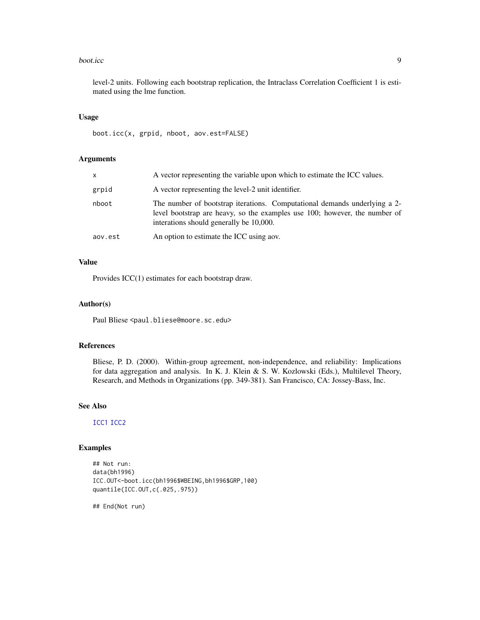#### <span id="page-8-0"></span>boot.icc 9

level-2 units. Following each bootstrap replication, the Intraclass Correlation Coefficient 1 is estimated using the lme function.

#### Usage

boot.icc(x, grpid, nboot, aov.est=FALSE)

# Arguments

| x       | A vector representing the variable upon which to estimate the ICC values.                                                                                                                          |  |  |  |
|---------|----------------------------------------------------------------------------------------------------------------------------------------------------------------------------------------------------|--|--|--|
| grpid   | A vector representing the level-2 unit identifier.                                                                                                                                                 |  |  |  |
| nboot   | The number of bootstrap iterations. Computational demands underlying a 2-<br>level bootstrap are heavy, so the examples use 100; however, the number of<br>interations should generally be 10,000. |  |  |  |
| aov.est | An option to estimate the ICC using aov.                                                                                                                                                           |  |  |  |

# Value

Provides ICC(1) estimates for each bootstrap draw.

#### Author(s)

Paul Bliese <paul.bliese@moore.sc.edu>

# References

Bliese, P. D. (2000). Within-group agreement, non-independence, and reliability: Implications for data aggregation and analysis. In K. J. Klein & S. W. Kozlowski (Eds.), Multilevel Theory, Research, and Methods in Organizations (pp. 349-381). San Francisco, CA: Jossey-Bass, Inc.

#### See Also

[ICC1](#page-15-1) [ICC2](#page-16-1)

# Examples

```
## Not run:
data(bh1996)
ICC.OUT<-boot.icc(bh1996$WBEING,bh1996$GRP,100)
quantile(ICC.OUT,c(.025,.975))
```
## End(Not run)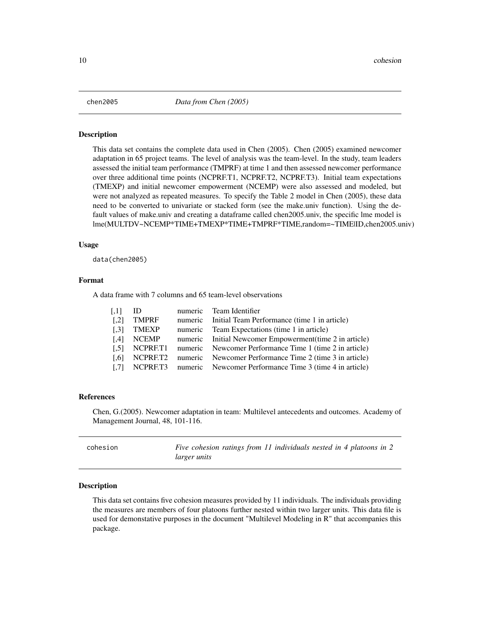<span id="page-9-0"></span>

This data set contains the complete data used in Chen (2005). Chen (2005) examined newcomer adaptation in 65 project teams. The level of analysis was the team-level. In the study, team leaders assessed the initial team performance (TMPRF) at time 1 and then assessed newcomer performance over three additional time points (NCPRF.T1, NCPRF.T2, NCPRF.T3). Initial team expectations (TMEXP) and initial newcomer empowerment (NCEMP) were also assessed and modeled, but were not analyzed as repeated measures. To specify the Table 2 model in Chen (2005), these data need to be converted to univariate or stacked form (see the make.univ function). Using the default values of make.univ and creating a dataframe called chen2005.univ, the specific lme model is lme(MULTDV~NCEMP\*TIME+TMEXP\*TIME+TMPRF\*TIME,random=~TIME|ID,chen2005.univ)

#### Usage

data(chen2005)

#### Format

A data frame with 7 columns and 65 team-level observations

| $\left[ .11 \right]$ | ID           | numeric Team Identifier                                          |
|----------------------|--------------|------------------------------------------------------------------|
| $\left[ .2 \right]$  | <b>TMPRF</b> | numeric Initial Team Performance (time 1 in article)             |
| $\left[ .3 \right]$  | TMEXP        | numeric Team Expectations (time 1 in article)                    |
| [4]                  | NCEMP        | numeric Initial Newcomer Empowerment (time 2 in article)         |
| $\left[ .5 \right]$  |              | NCPRF.T1 numeric Newcomer Performance Time 1 (time 2 in article) |
| $\Gamma$ .61         |              | NCPRF.T2 numeric Newcomer Performance Time 2 (time 3 in article) |
| $\left[ .7 \right]$  |              | NCPRF.T3 numeric Newcomer Performance Time 3 (time 4 in article) |

#### References

Chen, G.(2005). Newcomer adaptation in team: Multilevel antecedents and outcomes. Academy of Management Journal, 48, 101-116.

| cohesion | Five cohesion ratings from 11 individuals nested in 4 platoons in 2 |
|----------|---------------------------------------------------------------------|
|          | <i>larger units</i>                                                 |

#### Description

This data set contains five cohesion measures provided by 11 individuals. The individuals providing the measures are members of four platoons further nested within two larger units. This data file is used for demonstative purposes in the document "Multilevel Modeling in R" that accompanies this package.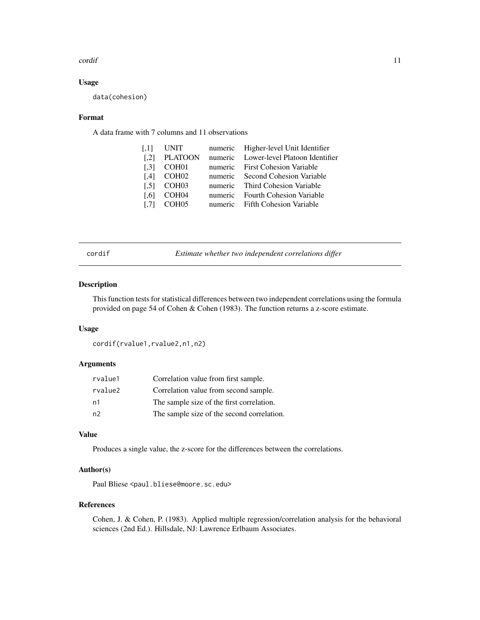#### <span id="page-10-0"></span>cordif the condition of the condition of the condition of the condition of the condition of the condition of the condition of the condition of the condition of the condition of the condition of the condition of the conditi

# Usage

data(cohesion)

# Format

A data frame with 7 columns and 11 observations

| $\left[ .1 \right]$ | <b>UNIT</b>       | numeric Higher-level Unit Identifier   |
|---------------------|-------------------|----------------------------------------|
| $\lceil .2 \rceil$  | <b>PLATOON</b>    | numeric Lower-level Platoon Identifier |
| $\left[ .3 \right]$ | COH <sub>01</sub> | numeric First Cohesion Variable        |
| [4]                 | COH <sub>02</sub> | numeric Second Cohesion Variable       |
| $\left[ .5 \right]$ | COH <sub>03</sub> | numeric Third Cohesion Variable        |
| $\lceil .6 \rceil$  | COH04             | numeric Fourth Cohesion Variable       |
| $\left[ .7\right]$  | COH <sub>05</sub> | numeric Fifth Cohesion Variable        |
|                     |                   |                                        |

<span id="page-10-1"></span>

| × |  |
|---|--|

Estimate whether two independent correlations differ

# Description

This function tests for statistical differences between two independent correlations using the formula provided on page 54 of Cohen & Cohen (1983). The function returns a z-score estimate.

#### Usage

cordif(rvalue1,rvalue2,n1,n2)

# Arguments

| rvalue1        | Correlation value from first sample.       |
|----------------|--------------------------------------------|
| rvalue2        | Correlation value from second sample.      |
| n1             | The sample size of the first correlation.  |
| n <sub>2</sub> | The sample size of the second correlation. |

# Value

Produces a single value, the z-score for the differences between the correlations.

# Author(s)

Paul Bliese <paul.bliese@moore.sc.edu>

# References

Cohen, J. & Cohen, P. (1983). Applied multiple regression/correlation analysis for the behavioral sciences (2nd Ed.). Hillsdale, NJ: Lawrence Erlbaum Associates.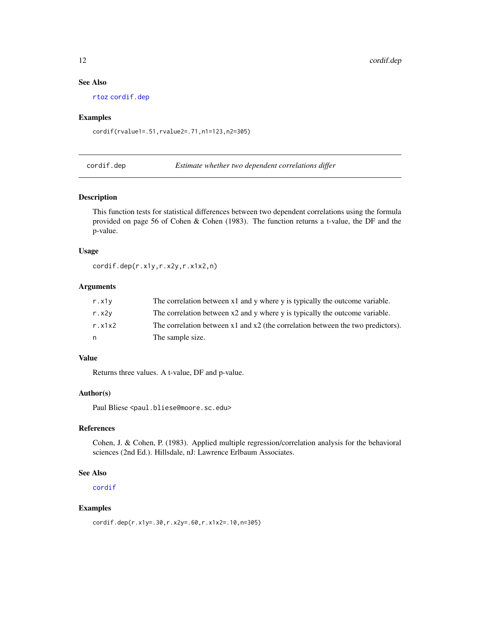# <span id="page-11-0"></span>See Also

[rtoz](#page-33-1) [cordif.dep](#page-11-1)

# Examples

cordif(rvalue1=.51,rvalue2=.71,n1=123,n2=305)

<span id="page-11-1"></span>cordif.dep *Estimate whether two dependent correlations differ*

#### Description

This function tests for statistical differences between two dependent correlations using the formula provided on page 56 of Cohen & Cohen (1983). The function returns a t-value, the DF and the p-value.

#### Usage

cordif.dep(r.x1y,r.x2y,r.x1x2,n)

# Arguments

| r.x1v       | The correlation between x1 and y where y is typically the outcome variable.         |
|-------------|-------------------------------------------------------------------------------------|
| $r$ . $x2y$ | The correlation between x2 and y where y is typically the outcome variable.         |
| r. x1x2     | The correlation between $x1$ and $x2$ (the correlation between the two predictors). |
| n           | The sample size.                                                                    |

# Value

Returns three values. A t-value, DF and p-value.

# Author(s)

Paul Bliese <paul.bliese@moore.sc.edu>

# References

Cohen, J. & Cohen, P. (1983). Applied multiple regression/correlation analysis for the behavioral sciences (2nd Ed.). Hillsdale, nJ: Lawrence Erlbaum Associates.

#### See Also

[cordif](#page-10-1)

# Examples

cordif.dep(r.x1y=.30,r.x2y=.60,r.x1x2=.10,n=305)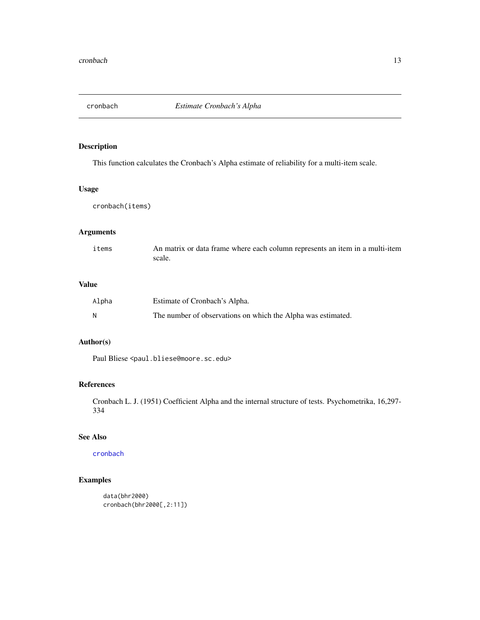<span id="page-12-1"></span><span id="page-12-0"></span>

This function calculates the Cronbach's Alpha estimate of reliability for a multi-item scale.

# Usage

cronbach(items)

# Arguments

| items | An matrix or data frame where each column represents an item in a multi-item |
|-------|------------------------------------------------------------------------------|
|       | scale.                                                                       |

# Value

| Alpha | Estimate of Cronbach's Alpha.                                |
|-------|--------------------------------------------------------------|
| N     | The number of observations on which the Alpha was estimated. |

# Author(s)

Paul Bliese <paul.bliese@moore.sc.edu>

# References

Cronbach L. J. (1951) Coefficient Alpha and the internal structure of tests. Psychometrika, 16,297- 334

# See Also

# [cronbach](#page-12-1)

```
data(bhr2000)
cronbach(bhr2000[,2:11])
```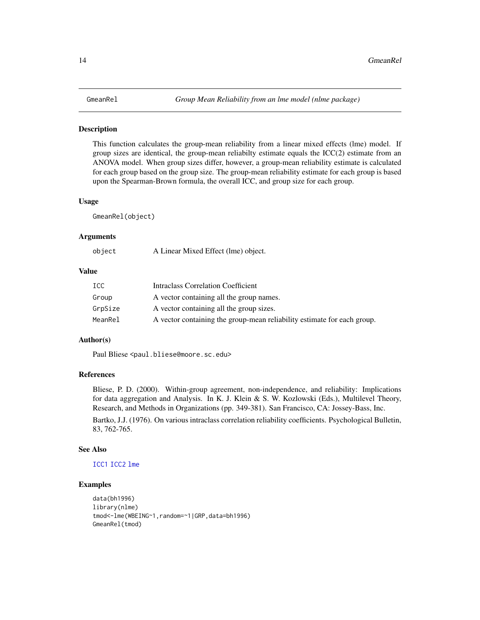<span id="page-13-0"></span>This function calculates the group-mean reliability from a linear mixed effects (lme) model. If group sizes are identical, the group-mean reliabilty estimate equals the ICC(2) estimate from an ANOVA model. When group sizes differ, however, a group-mean reliability estimate is calculated for each group based on the group size. The group-mean reliability estimate for each group is based upon the Spearman-Brown formula, the overall ICC, and group size for each group.

#### Usage

GmeanRel(object)

# Arguments

| object | A Linear Mixed Effect (lme) object. |  |
|--------|-------------------------------------|--|
|--------|-------------------------------------|--|

# Value

| ICC.    | Intraclass Correlation Coefficient                                      |
|---------|-------------------------------------------------------------------------|
| Group   | A vector containing all the group names.                                |
| GrpSize | A vector containing all the group sizes.                                |
| MeanRel | A vector containing the group-mean reliability estimate for each group. |

# Author(s)

Paul Bliese <paul.bliese@moore.sc.edu>

# References

Bliese, P. D. (2000). Within-group agreement, non-independence, and reliability: Implications for data aggregation and Analysis. In K. J. Klein & S. W. Kozlowski (Eds.), Multilevel Theory, Research, and Methods in Organizations (pp. 349-381). San Francisco, CA: Jossey-Bass, Inc.

Bartko, J.J. (1976). On various intraclass correlation reliability coefficients. Psychological Bulletin, 83, 762-765.

#### See Also

# [ICC1](#page-15-1) [ICC2](#page-16-1) [lme](#page-0-0)

```
data(bh1996)
library(nlme)
tmod<-lme(WBEING~1,random=~1|GRP,data=bh1996)
GmeanRel(tmod)
```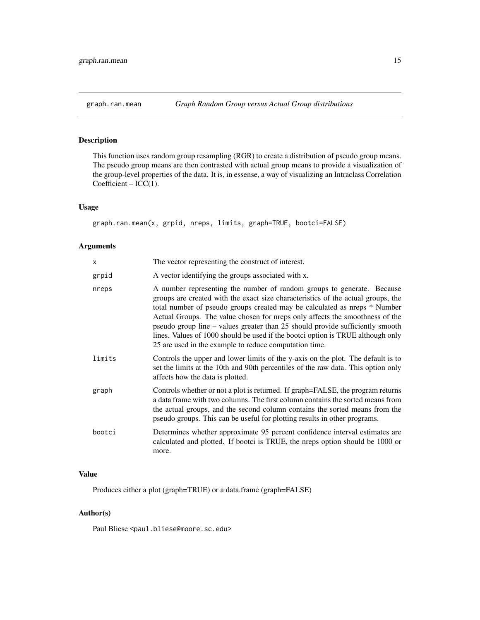<span id="page-14-1"></span><span id="page-14-0"></span>This function uses random group resampling (RGR) to create a distribution of pseudo group means. The pseudo group means are then contrasted with actual group means to provide a visualization of the group-level properties of the data. It is, in essense, a way of visualizing an Intraclass Correlation  $Coefficient - ICC(1)$ .

# Usage

graph.ran.mean(x, grpid, nreps, limits, graph=TRUE, bootci=FALSE)

# Arguments

| x      | The vector representing the construct of interest.                                                                                                                                                                                                                                                                                                                                                                                                                                                                                                    |  |  |
|--------|-------------------------------------------------------------------------------------------------------------------------------------------------------------------------------------------------------------------------------------------------------------------------------------------------------------------------------------------------------------------------------------------------------------------------------------------------------------------------------------------------------------------------------------------------------|--|--|
| grpid  | A vector identifying the groups associated with x.                                                                                                                                                                                                                                                                                                                                                                                                                                                                                                    |  |  |
| nreps  | A number representing the number of random groups to generate. Because<br>groups are created with the exact size characteristics of the actual groups, the<br>total number of pseudo groups created may be calculated as nreps * Number<br>Actual Groups. The value chosen for nreps only affects the smoothness of the<br>pseudo group line – values greater than 25 should provide sufficiently smooth<br>lines. Values of 1000 should be used if the bootci option is TRUE although only<br>25 are used in the example to reduce computation time. |  |  |
| limits | Controls the upper and lower limits of the y-axis on the plot. The default is to<br>set the limits at the 10th and 90th percentiles of the raw data. This option only<br>affects how the data is plotted.                                                                                                                                                                                                                                                                                                                                             |  |  |
| graph  | Controls whether or not a plot is returned. If graph=FALSE, the program returns<br>a data frame with two columns. The first column contains the sorted means from<br>the actual groups, and the second column contains the sorted means from the<br>pseudo groups. This can be useful for plotting results in other programs.                                                                                                                                                                                                                         |  |  |
| bootci | Determines whether approximate 95 percent confidence interval estimates are<br>calculated and plotted. If bootci is TRUE, the nreps option should be 1000 or<br>more.                                                                                                                                                                                                                                                                                                                                                                                 |  |  |
|        |                                                                                                                                                                                                                                                                                                                                                                                                                                                                                                                                                       |  |  |

# Value

Produces either a plot (graph=TRUE) or a data.frame (graph=FALSE)

# Author(s)

Paul Bliese <paul.bliese@moore.sc.edu>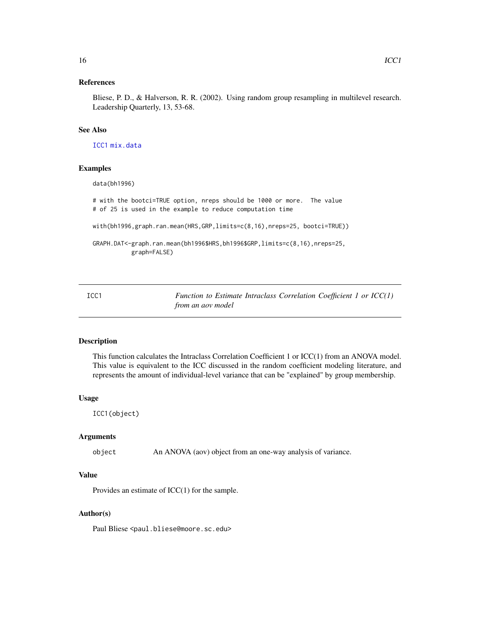#### <span id="page-15-0"></span>References

Bliese, P. D., & Halverson, R. R. (2002). Using random group resampling in multilevel research. Leadership Quarterly, 13, 53-68.

# See Also

[ICC1](#page-15-1) [mix.data](#page-21-1)

# Examples

data(bh1996)

# with the bootci=TRUE option, nreps should be 1000 or more. The value # of 25 is used in the example to reduce computation time

with(bh1996,graph.ran.mean(HRS,GRP,limits=c(8,16),nreps=25, bootci=TRUE))

```
GRAPH.DAT<-graph.ran.mean(bh1996$HRS,bh1996$GRP,limits=c(8,16),nreps=25,
           graph=FALSE)
```
<span id="page-15-1"></span>ICC1 *Function to Estimate Intraclass Correlation Coefficient 1 or ICC(1) from an aov model*

#### Description

This function calculates the Intraclass Correlation Coefficient 1 or ICC(1) from an ANOVA model. This value is equivalent to the ICC discussed in the random coefficient modeling literature, and represents the amount of individual-level variance that can be "explained" by group membership.

#### Usage

ICC1(object)

#### Arguments

object An ANOVA (aov) object from an one-way analysis of variance.

# Value

Provides an estimate of ICC(1) for the sample.

# Author(s)

Paul Bliese <paul.bliese@moore.sc.edu>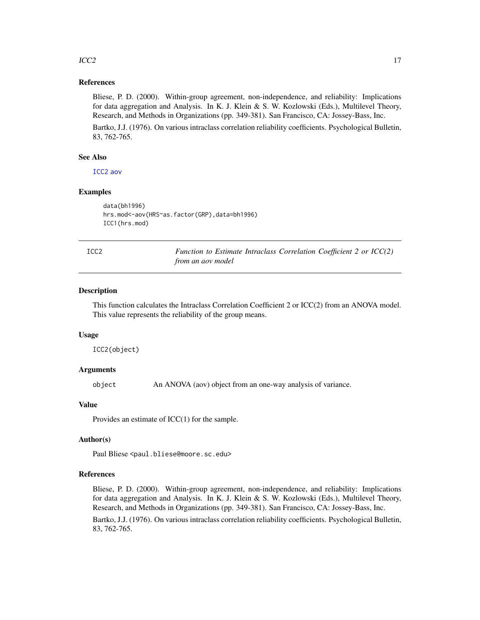# <span id="page-16-0"></span> $\text{ICC2}$  and  $\text{ICC2}$  and  $\text{LOC2}$  and  $\text{LOC2}$  and  $\text{LOC2}$  and  $\text{LOC2}$  and  $\text{LOC2}$  and  $\text{LOC2}$  and  $\text{LOC2}$  and  $\text{LOC2}$  and  $\text{LOC2}$  and  $\text{LOC2}$  and  $\text{LOC2}$  and  $\text{LOC2}$  and  $\text{LOC2}$  and  $\text{LOC2}$  and  $\text{LOC2}$  and

# References

Bliese, P. D. (2000). Within-group agreement, non-independence, and reliability: Implications for data aggregation and Analysis. In K. J. Klein & S. W. Kozlowski (Eds.), Multilevel Theory, Research, and Methods in Organizations (pp. 349-381). San Francisco, CA: Jossey-Bass, Inc.

Bartko, J.J. (1976). On various intraclass correlation reliability coefficients. Psychological Bulletin, 83, 762-765.

#### See Also

[ICC2](#page-16-1) [aov](#page-0-0)

# Examples

```
data(bh1996)
hrs.mod<-aov(HRS~as.factor(GRP),data=bh1996)
ICC1(hrs.mod)
```
ICC2 *Function to Estimate Intraclass Correlation Coefficient 2 or ICC(2) from an aov model*

#### Description

This function calculates the Intraclass Correlation Coefficient 2 or ICC(2) from an ANOVA model. This value represents the reliability of the group means.

#### Usage

ICC2(object)

#### Arguments

object An ANOVA (aov) object from an one-way analysis of variance.

# Value

Provides an estimate of ICC(1) for the sample.

#### Author(s)

Paul Bliese <paul.bliese@moore.sc.edu>

# References

Bliese, P. D. (2000). Within-group agreement, non-independence, and reliability: Implications for data aggregation and Analysis. In K. J. Klein & S. W. Kozlowski (Eds.), Multilevel Theory, Research, and Methods in Organizations (pp. 349-381). San Francisco, CA: Jossey-Bass, Inc.

Bartko, J.J. (1976). On various intraclass correlation reliability coefficients. Psychological Bulletin, 83, 762-765.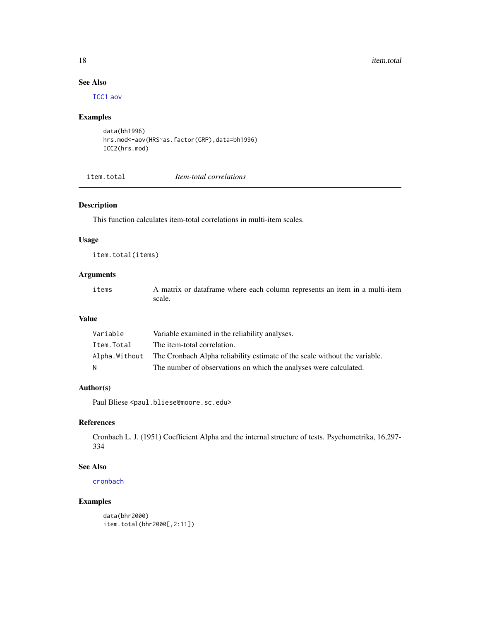# See Also

[ICC1](#page-15-1) [aov](#page-0-0)

# Examples

```
data(bh1996)
hrs.mod<-aov(HRS~as.factor(GRP),data=bh1996)
ICC2(hrs.mod)
```
item.total *Item-total correlations*

# Description

This function calculates item-total correlations in multi-item scales.

#### Usage

item.total(items)

# Arguments

items A matrix or dataframe where each column represents an item in a multi-item scale.

# Value

| Variable   | Variable examined in the reliability analyses.                                            |
|------------|-------------------------------------------------------------------------------------------|
| Item.Total | The item-total correlation.                                                               |
|            | Alpha. Without The Cronbach Alpha reliability estimate of the scale without the variable. |
| N          | The number of observations on which the analyses were calculated.                         |

# Author(s)

Paul Bliese <paul.bliese@moore.sc.edu>

# References

Cronbach L. J. (1951) Coefficient Alpha and the internal structure of tests. Psychometrika, 16,297- 334

# See Also

[cronbach](#page-12-1)

# Examples

data(bhr2000) item.total(bhr2000[,2:11])

<span id="page-17-0"></span>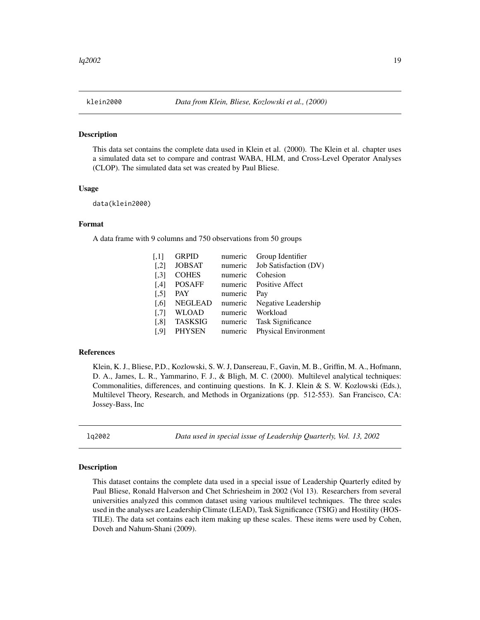<span id="page-18-0"></span>

This data set contains the complete data used in Klein et al. (2000). The Klein et al. chapter uses a simulated data set to compare and contrast WABA, HLM, and Cross-Level Operator Analyses (CLOP). The simulated data set was created by Paul Bliese.

# Usage

data(klein2000)

# Format

A data frame with 9 columns and 750 observations from 50 groups

| $\left[1,1\right]$   | <b>GRPID</b>   | numeric | Group Identifier         |
|----------------------|----------------|---------|--------------------------|
| $\left[ 1,2\right]$  | <b>JOBSAT</b>  | numeric | Job Satisfaction (DV)    |
| $\left[ .3 \right]$  | <b>COHES</b>   | numeric | Cohesion                 |
| [4]                  | <b>POSAFF</b>  | numeric | <b>Positive Affect</b>   |
| $[$                  | <b>PAY</b>     | numeric | Pay                      |
| $\left[ 0.6 \right]$ | <b>NEGLEAD</b> | numeric | Negative Leadership      |
| $\left[ 7\right]$    | <b>WLOAD</b>   | numeric | Workload                 |
| $[$ 8]               | <b>TASKSIG</b> | numeric | <b>Task Significance</b> |
| $\left[ .9\right]$   | <b>PHYSEN</b>  | numeric | Physical Environment     |

#### References

Klein, K. J., Bliese, P.D., Kozlowski, S. W. J, Dansereau, F., Gavin, M. B., Griffin, M. A., Hofmann, D. A., James, L. R., Yammarino, F. J., & Bligh, M. C. (2000). Multilevel analytical techniques: Commonalities, differences, and continuing questions. In K. J. Klein & S. W. Kozlowski (Eds.), Multilevel Theory, Research, and Methods in Organizations (pp. 512-553). San Francisco, CA: Jossey-Bass, Inc

lq2002 *Data used in special issue of Leadership Quarterly, Vol. 13, 2002*

#### **Description**

This dataset contains the complete data used in a special issue of Leadership Quarterly edited by Paul Bliese, Ronald Halverson and Chet Schriesheim in 2002 (Vol 13). Researchers from several universities analyzed this common dataset using various multilevel techniques. The three scales used in the analyses are Leadership Climate (LEAD), Task Significance (TSIG) and Hostility (HOS-TILE). The data set contains each item making up these scales. These items were used by Cohen, Doveh and Nahum-Shani (2009).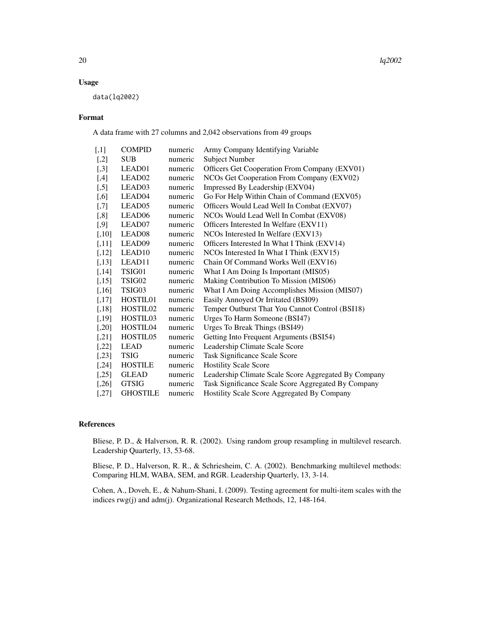# Usage

data(lq2002)

# Format

A data frame with 27 columns and 2,042 observations from 49 groups

| $[$      | <b>COMPID</b>        | numeric | Army Company Identifying Variable                    |
|----------|----------------------|---------|------------------------------------------------------|
| $[$      | <b>SUB</b>           | numeric | <b>Subject Number</b>                                |
| $[0.3]$  | LEAD01               | numeric | Officers Get Cooperation From Company (EXV01)        |
| $[$ ,4]  | LEAD02               | numeric | NCOs Get Cooperation From Company (EXV02)            |
| $[$      | LEAD03               | numeric | Impressed By Leadership (EXV04)                      |
| $[0.6]$  | LEAD04               | numeric | Go For Help Within Chain of Command (EXV05)          |
| $[0.7]$  | LEAD05               | numeric | Officers Would Lead Well In Combat (EXV07)           |
| $[$ 8]   | LEAD <sub>06</sub>   | numeric | NCOs Would Lead Well In Combat (EXV08)               |
| $[$ 9]   | LEAD07               | numeric | Officers Interested In Welfare (EXV11)               |
| $[,10]$  | LEAD <sub>08</sub>   | numeric | NCOs Interested In Welfare (EXV13)                   |
| [,11]    | LEAD09               | numeric | Officers Interested In What I Think (EXV14)          |
| $[,12]$  | LEAD <sub>10</sub>   | numeric | NCOs Interested In What I Think (EXV15)              |
| [,13]    | LEAD11               | numeric | Chain Of Command Works Well (EXV16)                  |
| [,14]    | TSIG01               | numeric | What I Am Doing Is Important (MIS05)                 |
| [,15]    | TSIG02               | numeric | Making Contribution To Mission (MIS06)               |
| $[,16]$  | TSIG03               | numeric | What I Am Doing Accomplishes Mission (MIS07)         |
| [,17]    | HOSTIL01             | numeric | Easily Annoyed Or Irritated (BSI09)                  |
| $[,18]$  | HOSTIL <sub>02</sub> | numeric | Temper Outburst That You Cannot Control (BSI18)      |
| [,19]    | HOSTIL03             | numeric | Urges To Harm Someone (BSI47)                        |
| $[0.20]$ | HOSTIL04             | numeric | Urges To Break Things (BSI49)                        |
| $[21]$   | HOSTIL05             | numeric | Getting Into Frequent Arguments (BSI54)              |
| $[,22]$  | <b>LEAD</b>          | numeric | Leadership Climate Scale Score                       |
| $[0.23]$ | <b>TSIG</b>          | numeric | Task Significance Scale Score                        |
| [,24]    | <b>HOSTILE</b>       | numeric | <b>Hostility Scale Score</b>                         |
| [,25]    | <b>GLEAD</b>         | numeric | Leadership Climate Scale Score Aggregated By Company |
| [,26]    | <b>GTSIG</b>         | numeric | Task Significance Scale Score Aggregated By Company  |
| $[$ 27]  | <b>GHOSTILE</b>      | numeric | Hostility Scale Score Aggregated By Company          |

# References

Bliese, P. D., & Halverson, R. R. (2002). Using random group resampling in multilevel research. Leadership Quarterly, 13, 53-68.

Bliese, P. D., Halverson, R. R., & Schriesheim, C. A. (2002). Benchmarking multilevel methods: Comparing HLM, WABA, SEM, and RGR. Leadership Quarterly, 13, 3-14.

Cohen, A., Doveh, E., & Nahum-Shani, I. (2009). Testing agreement for multi-item scales with the indices rwg(j) and adm(j). Organizational Research Methods, 12, 148-164.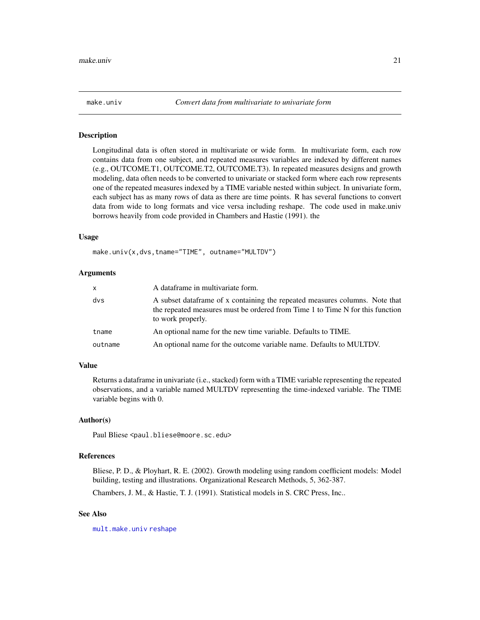<span id="page-20-1"></span><span id="page-20-0"></span>

Longitudinal data is often stored in multivariate or wide form. In multivariate form, each row contains data from one subject, and repeated measures variables are indexed by different names (e.g., OUTCOME.T1, OUTCOME.T2, OUTCOME.T3). In repeated measures designs and growth modeling, data often needs to be converted to univariate or stacked form where each row represents one of the repeated measures indexed by a TIME variable nested within subject. In univariate form, each subject has as many rows of data as there are time points. R has several functions to convert data from wide to long formats and vice versa including reshape. The code used in make.univ borrows heavily from code provided in Chambers and Hastie (1991). the

# Usage

make.univ(x,dvs,tname="TIME", outname="MULTDV")

#### Arguments

| X.      | A dataframe in multivariate form.                                                                                                                                                  |
|---------|------------------------------------------------------------------------------------------------------------------------------------------------------------------------------------|
| dvs     | A subset data frame of x containing the repeated measures columns. Note that<br>the repeated measures must be ordered from Time 1 to Time N for this function<br>to work properly. |
| tname   | An optional name for the new time variable. Defaults to TIME.                                                                                                                      |
| outname | An optional name for the outcome variable name. Defaults to MULTDV.                                                                                                                |

# Value

Returns a dataframe in univariate (i.e., stacked) form with a TIME variable representing the repeated observations, and a variable named MULTDV representing the time-indexed variable. The TIME variable begins with 0.

#### Author(s)

Paul Bliese <paul.bliese@moore.sc.edu>

# References

Bliese, P. D., & Ployhart, R. E. (2002). Growth modeling using random coefficient models: Model building, testing and illustrations. Organizational Research Methods, 5, 362-387.

Chambers, J. M., & Hastie, T. J. (1991). Statistical models in S. CRC Press, Inc..

#### See Also

[mult.make.univ](#page-23-1) [reshape](#page-0-0)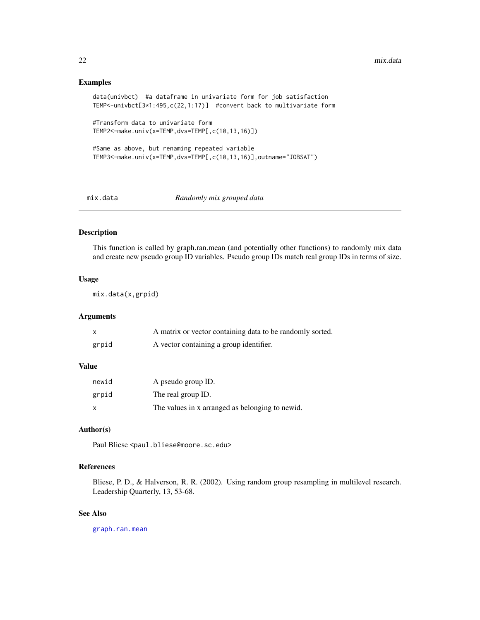# <span id="page-21-0"></span>Examples

```
data(univbct) #a dataframe in univariate form for job satisfaction
TEMP<-univbct[3*1:495,c(22,1:17)] #convert back to multivariate form
#Transform data to univariate form
TEMP2<-make.univ(x=TEMP,dvs=TEMP[,c(10,13,16)])
#Same as above, but renaming repeated variable
TEMP3<-make.univ(x=TEMP,dvs=TEMP[,c(10,13,16)],outname="JOBSAT")
```
<span id="page-21-1"></span>

mix.data *Randomly mix grouped data*

# **Description**

This function is called by graph.ran.mean (and potentially other functions) to randomly mix data and create new pseudo group ID variables. Pseudo group IDs match real group IDs in terms of size.

# Usage

mix.data(x,grpid)

# Arguments

|       | A matrix or vector containing data to be randomly sorted. |
|-------|-----------------------------------------------------------|
| grpid | A vector containing a group identifier.                   |

# Value

| newid | A pseudo group ID.                              |
|-------|-------------------------------------------------|
| grpid | The real group ID.                              |
| X     | The values in x arranged as belonging to newid. |

# Author(s)

Paul Bliese <paul.bliese@moore.sc.edu>

# References

Bliese, P. D., & Halverson, R. R. (2002). Using random group resampling in multilevel research. Leadership Quarterly, 13, 53-68.

# See Also

[graph.ran.mean](#page-14-1)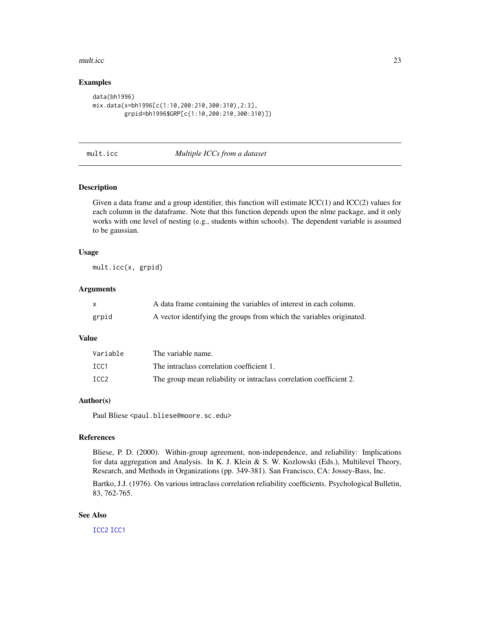#### <span id="page-22-0"></span>mult.icc 23

# Examples

```
data(bh1996)
mix.data(x=bh1996[c(1:10,200:210,300:310),2:3],
         grpid=bh1996$GRP[c(1:10,200:210,300:310)])
```
# mult.icc *Multiple ICCs from a dataset*

#### Description

Given a data frame and a group identifier, this function will estimate  $\text{ICC}(1)$  and  $\text{ICC}(2)$  values for each column in the dataframe. Note that this function depends upon the nlme package, and it only works with one level of nesting (e.g., students within schools). The dependent variable is assumed to be gaussian.

#### Usage

mult.icc(x, grpid)

# Arguments

|       | A data frame containing the variables of interest in each column.    |
|-------|----------------------------------------------------------------------|
| grpid | A vector identifying the groups from which the variables originated. |

#### Value

| Variable         | The variable name.                                                  |
|------------------|---------------------------------------------------------------------|
| TCC <sub>1</sub> | The intraclass correlation coefficient 1.                           |
| ICC <sub>2</sub> | The group mean reliability or intraclass correlation coefficient 2. |

# Author(s)

Paul Bliese <paul.bliese@moore.sc.edu>

# References

Bliese, P. D. (2000). Within-group agreement, non-independence, and reliability: Implications for data aggregation and Analysis. In K. J. Klein & S. W. Kozlowski (Eds.), Multilevel Theory, Research, and Methods in Organizations (pp. 349-381). San Francisco, CA: Jossey-Bass, Inc.

Bartko, J.J. (1976). On various intraclass correlation reliability coefficients. Psychological Bulletin, 83, 762-765.

#### See Also

[ICC2](#page-16-1) [ICC1](#page-15-1)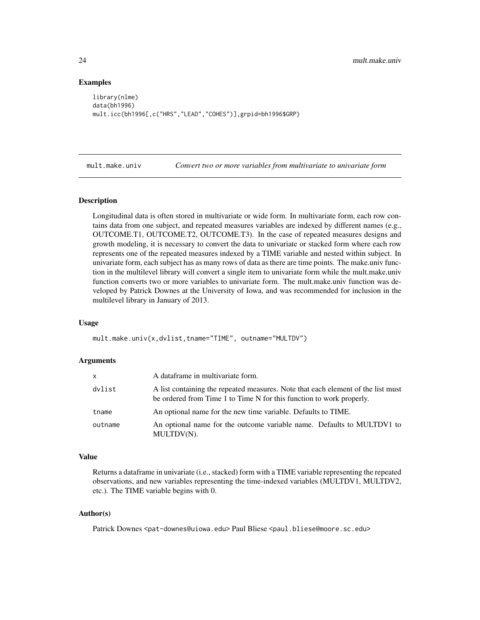# Examples

```
library(nlme)
data(bh1996)
mult.icc(bh1996[,c("HRS","LEAD","COHES")],grpid=bh1996$GRP)
```
<span id="page-23-1"></span>mult.make.univ *Convert two or more variables from multivariate to univariate form*

#### Description

Longitudinal data is often stored in multivariate or wide form. In multivariate form, each row contains data from one subject, and repeated measures variables are indexed by different names (e.g., OUTCOME.T1, OUTCOME.T2, OUTCOME.T3). In the case of repeated measures designs and growth modeling, it is necessary to convert the data to univariate or stacked form where each row represents one of the repeated measures indexed by a TIME variable and nested within subject. In univariate form, each subject has as many rows of data as there are time points. The make.univ function in the multilevel library will convert a single item to univariate form while the mult.make.univ function converts two or more variables to univariate form. The mult.make.univ function was developed by Patrick Downes at the University of Iowa, and was recommended for inclusion in the multilevel library in January of 2013.

#### Usage

mult.make.univ(x,dvlist,tname="TIME", outname="MULTDV")

#### Arguments

| x       | A dataframe in multivariate form.                                                                                                                        |
|---------|----------------------------------------------------------------------------------------------------------------------------------------------------------|
| dvlist  | A list containing the repeated measures. Note that each element of the list must<br>be ordered from Time 1 to Time N for this function to work properly. |
| tname   | An optional name for the new time variable. Defaults to TIME.                                                                                            |
| outname | An optional name for the outcome variable name. Defaults to MULTDV1 to<br>MULTDV(N).                                                                     |

#### Value

Returns a dataframe in univariate (i.e., stacked) form with a TIME variable representing the repeated observations, and new variables representing the time-indexed variables (MULTDV1, MULTDV2, etc.). The TIME variable begins with 0.

#### Author(s)

Patrick Downes <pat-downes@uiowa.edu> Paul Bliese <paul.bliese@moore.sc.edu>

<span id="page-23-0"></span>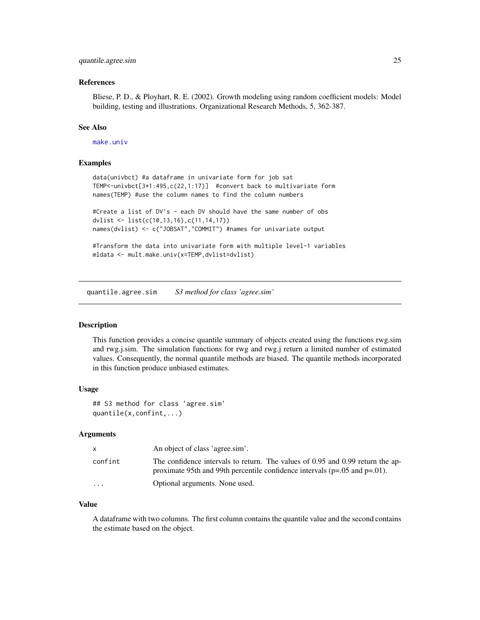# <span id="page-24-0"></span>quantile.agree.sim 25

#### References

Bliese, P. D., & Ployhart, R. E. (2002). Growth modeling using random coefficient models: Model building, testing and illustrations. Organizational Research Methods, 5, 362-387.

#### See Also

[make.univ](#page-20-1)

# Examples

```
data(univbct) #a dataframe in univariate form for job sat
TEMP<-univbct[3*1:495,c(22,1:17)] #convert back to multivariate form
names(TEMP) #use the column names to find the column numbers
#Create a list of DV's - each DV should have the same number of obs
```
dvlist <- list(c(10,13,16),c(11,14,17)) names(dvlist) <- c("JOBSAT","COMMIT") #names for univariate output

```
#Transform the data into univariate form with multiple level-1 variables
mldata <- mult.make.univ(x=TEMP,dvlist=dvlist)
```
quantile.agree.sim *S3 method for class 'agree.sim'*

#### Description

This function provides a concise quantile summary of objects created using the functions rwg.sim and rwg.j.sim. The simulation functions for rwg and rwg.j return a limited number of estimated values. Consequently, the normal quantile methods are biased. The quantile methods incorporated in this function produce unbiased estimates.

#### Usage

```
## S3 method for class 'agree.sim'
quantile(x,confint,...)
```
# Arguments

|          | An object of class 'agree.sim'.                                                                                                                                    |
|----------|--------------------------------------------------------------------------------------------------------------------------------------------------------------------|
| confint  | The confidence intervals to return. The values of 0.95 and 0.99 return the ap-<br>proximate 95th and 99th percentile confidence intervals ( $p=.05$ and $p=.01$ ). |
| $\cdots$ | Optional arguments. None used.                                                                                                                                     |

#### Value

A dataframe with two columns. The first column contains the quantile value and the second contains the estimate based on the object.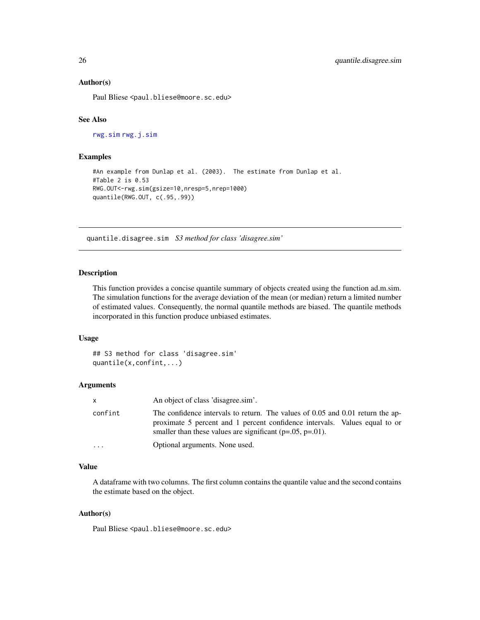#### <span id="page-25-0"></span>Author(s)

Paul Bliese <paul.bliese@moore.sc.edu>

#### See Also

[rwg.sim](#page-39-1) [rwg.j.sim](#page-37-1)

#### Examples

```
#An example from Dunlap et al. (2003). The estimate from Dunlap et al.
#Table 2 is 0.53
RWG.OUT<-rwg.sim(gsize=10,nresp=5,nrep=1000)
quantile(RWG.OUT, c(.95,.99))
```
quantile.disagree.sim *S3 method for class 'disagree.sim'*

# Description

This function provides a concise quantile summary of objects created using the function ad.m.sim. The simulation functions for the average deviation of the mean (or median) return a limited number of estimated values. Consequently, the normal quantile methods are biased. The quantile methods incorporated in this function produce unbiased estimates.

#### Usage

```
## S3 method for class 'disagree.sim'
quantile(x,confint,...)
```
# Arguments

|          | An object of class 'disagree.sim'.                                                                                                                                                                                               |
|----------|----------------------------------------------------------------------------------------------------------------------------------------------------------------------------------------------------------------------------------|
| confint  | The confidence intervals to return. The values of 0.05 and 0.01 return the ap-<br>proximate 5 percent and 1 percent confidence intervals. Values equal to or<br>smaller than these values are significant ( $p=.05$ , $p=.01$ ). |
| $\cdots$ | Optional arguments. None used.                                                                                                                                                                                                   |

#### Value

A dataframe with two columns. The first column contains the quantile value and the second contains the estimate based on the object.

#### Author(s)

Paul Bliese <paul.bliese@moore.sc.edu>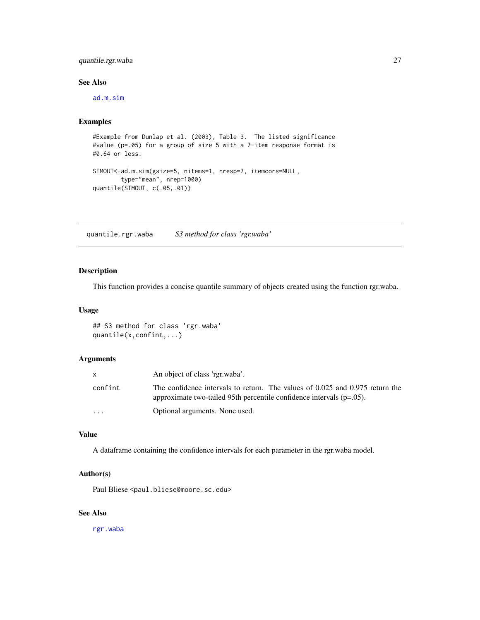# <span id="page-26-0"></span>quantile.rgr.waba 27

# See Also

[ad.m.sim](#page-3-1)

# Examples

```
#Example from Dunlap et al. (2003), Table 3. The listed significance
#value (p=.05) for a group of size 5 with a 7-item response format is
#0.64 or less.
SIMOUT<-ad.m.sim(gsize=5, nitems=1, nresp=7, itemcors=NULL,
       type="mean", nrep=1000)
quantile(SIMOUT, c(.05,.01))
```
quantile.rgr.waba *S3 method for class 'rgr.waba'*

# Description

This function provides a concise quantile summary of objects created using the function rgr.waba.

# Usage

## S3 method for class 'rgr.waba' quantile(x,confint,...)

# Arguments

|                         | An object of class 'rgr.waba'.                                                                                                                          |
|-------------------------|---------------------------------------------------------------------------------------------------------------------------------------------------------|
| confint                 | The confidence intervals to return. The values of 0.025 and 0.975 return the<br>approximate two-tailed 95th percentile confidence intervals $(p=.05)$ . |
| $\cdot$ $\cdot$ $\cdot$ | Optional arguments. None used.                                                                                                                          |

# Value

A dataframe containing the confidence intervals for each parameter in the rgr.waba model.

# Author(s)

Paul Bliese <paul.bliese@moore.sc.edu>

# See Also

[rgr.waba](#page-30-1)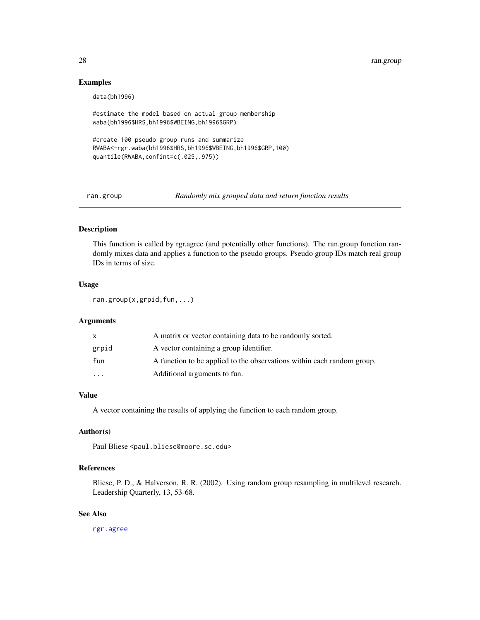# Examples

data(bh1996)

```
#estimate the model based on actual group membership
waba(bh1996$HRS,bh1996$WBEING,bh1996$GRP)
```

```
#create 100 pseudo group runs and summarize
RWABA<-rgr.waba(bh1996$HRS,bh1996$WBEING,bh1996$GRP,100)
quantile(RWABA,confint=c(.025,.975))
```
ran.group *Randomly mix grouped data and return function results*

# Description

This function is called by rgr.agree (and potentially other functions). The ran.group function randomly mixes data and applies a function to the pseudo groups. Pseudo group IDs match real group IDs in terms of size.

# Usage

ran.group(x,grpid,fun,...)

#### Arguments

| X        | A matrix or vector containing data to be randomly sorted.              |
|----------|------------------------------------------------------------------------|
| grpid    | A vector containing a group identifier.                                |
| fun      | A function to be applied to the observations within each random group. |
| $\cdots$ | Additional arguments to fun.                                           |

# Value

A vector containing the results of applying the function to each random group.

# Author(s)

Paul Bliese <paul.bliese@moore.sc.edu>

# References

Bliese, P. D., & Halverson, R. R. (2002). Using random group resampling in multilevel research. Leadership Quarterly, 13, 53-68.

# See Also

[rgr.agree](#page-28-1)

<span id="page-27-0"></span>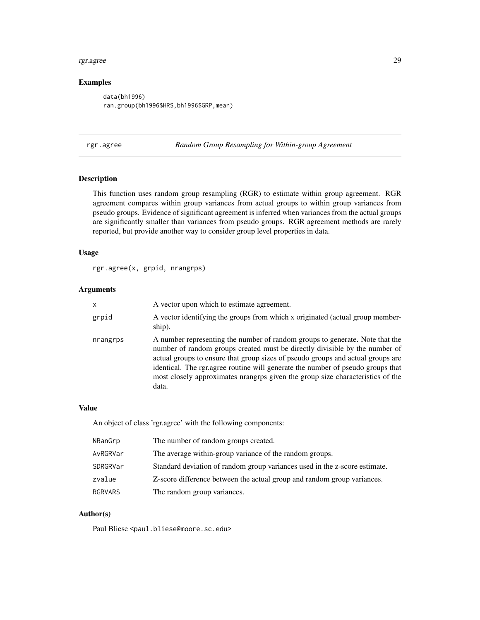#### <span id="page-28-0"></span>rgr.agree 29

# Examples

data(bh1996) ran.group(bh1996\$HRS,bh1996\$GRP,mean)

<span id="page-28-1"></span>rgr.agree *Random Group Resampling for Within-group Agreement*

# Description

This function uses random group resampling (RGR) to estimate within group agreement. RGR agreement compares within group variances from actual groups to within group variances from pseudo groups. Evidence of significant agreement is inferred when variances from the actual groups are significantly smaller than variances from pseudo groups. RGR agreement methods are rarely reported, but provide another way to consider group level properties in data.

#### Usage

rgr.agree(x, grpid, nrangrps)

# Arguments

| x        | A vector upon which to estimate agreement.                                                                                                                                                                                                                                                                                                                                                                                   |
|----------|------------------------------------------------------------------------------------------------------------------------------------------------------------------------------------------------------------------------------------------------------------------------------------------------------------------------------------------------------------------------------------------------------------------------------|
| grpid    | A vector identifying the groups from which x originated (actual group member-<br>ship).                                                                                                                                                                                                                                                                                                                                      |
| nrangrps | A number representing the number of random groups to generate. Note that the<br>number of random groups created must be directly divisible by the number of<br>actual groups to ensure that group sizes of pseudo groups and actual groups are<br>identical. The rgr.agree routine will generate the number of pseudo groups that<br>most closely approximates nrangrps given the group size characteristics of the<br>data. |

#### Value

An object of class 'rgr.agree' with the following components:

| NRanGrp  | The number of random groups created.                                       |
|----------|----------------------------------------------------------------------------|
| AvRGRVar | The average within-group variance of the random groups.                    |
| SDRGRVar | Standard deviation of random group variances used in the z-score estimate. |
| zvalue   | Z-score difference between the actual group and random group variances.    |
| RGRVARS  | The random group variances.                                                |

# Author(s)

Paul Bliese <paul.bliese@moore.sc.edu>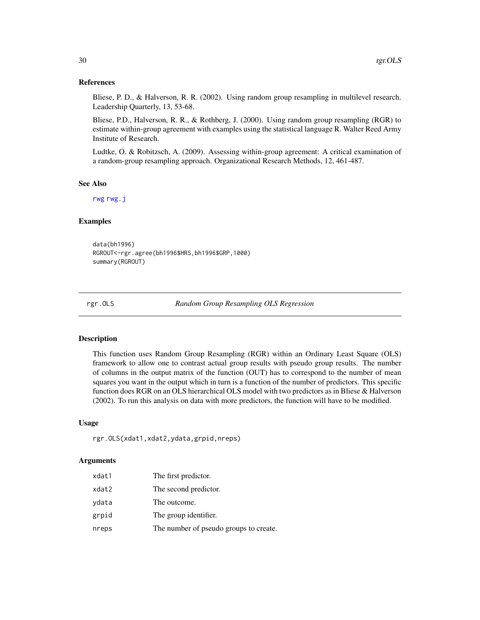#### <span id="page-29-0"></span>References

Bliese, P. D., & Halverson, R. R. (2002). Using random group resampling in multilevel research. Leadership Quarterly, 13, 53-68.

Bliese, P.D., Halverson, R. R., & Rothberg, J. (2000). Using random group resampling (RGR) to estimate within-group agreement with examples using the statistical language R. Walter Reed Army Institute of Research.

Ludtke, O. & Robitzsch, A. (2009). Assessing within-group agreement: A critical examination of a random-group resampling approach. Organizational Research Methods, 12, 461-487.

#### See Also

[rwg](#page-34-1) [rwg.j](#page-35-1)

#### Examples

```
data(bh1996)
RGROUT<-rgr.agree(bh1996$HRS,bh1996$GRP,1000)
summary(RGROUT)
```
rgr.OLS *Random Group Resampling OLS Regression*

#### Description

This function uses Random Group Resampling (RGR) within an Ordinary Least Square (OLS) framework to allow one to contrast actual group results with pseudo group results. The number of columns in the output matrix of the function (OUT) has to correspond to the number of mean squares you want in the output which in turn is a function of the number of predictors. This specific function does RGR on an OLS hierarchical OLS model with two predictors as in Bliese & Halverson (2002). To run this analysis on data with more predictors, the function will have to be modified.

# Usage

```
rgr.OLS(xdat1,xdat2,ydata,grpid,nreps)
```
# Arguments

| xdat1 | The first predictor.                   |
|-------|----------------------------------------|
| xdat2 | The second predictor.                  |
| vdata | The outcome.                           |
| grpid | The group identifier.                  |
| nreps | The number of pseudo groups to create. |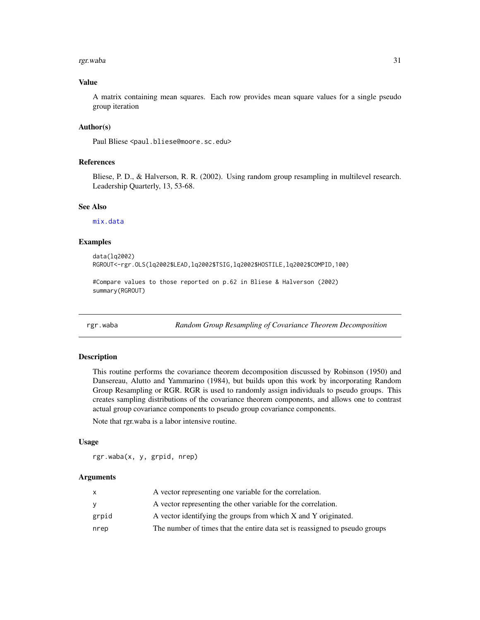#### <span id="page-30-0"></span>rgr.waba 31

# Value

A matrix containing mean squares. Each row provides mean square values for a single pseudo group iteration

# Author(s)

Paul Bliese <paul.bliese@moore.sc.edu>

#### References

Bliese, P. D., & Halverson, R. R. (2002). Using random group resampling in multilevel research. Leadership Quarterly, 13, 53-68.

# See Also

[mix.data](#page-21-1)

# Examples

data(lq2002) RGROUT<-rgr.OLS(lq2002\$LEAD,lq2002\$TSIG,lq2002\$HOSTILE,lq2002\$COMPID,100)

```
#Compare values to those reported on p.62 in Bliese & Halverson (2002)
summary(RGROUT)
```
<span id="page-30-1"></span>rgr.waba *Random Group Resampling of Covariance Theorem Decomposition*

# Description

This routine performs the covariance theorem decomposition discussed by Robinson (1950) and Dansereau, Alutto and Yammarino (1984), but builds upon this work by incorporating Random Group Resampling or RGR. RGR is used to randomly assign individuals to pseudo groups. This creates sampling distributions of the covariance theorem components, and allows one to contrast actual group covariance components to pseudo group covariance components.

Note that rgr.waba is a labor intensive routine.

#### Usage

rgr.waba(x, y, grpid, nrep)

#### Arguments

|       | A vector representing one variable for the correlation.                     |
|-------|-----------------------------------------------------------------------------|
| v     | A vector representing the other variable for the correlation.               |
| grpid | A vector identifying the groups from which X and Y originated.              |
| nrep  | The number of times that the entire data set is reassigned to pseudo groups |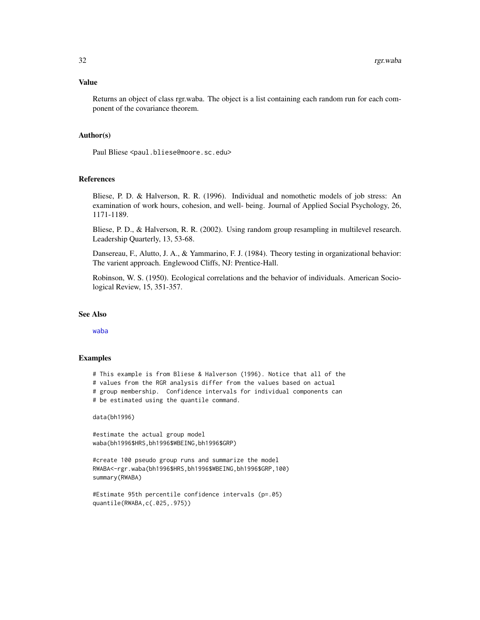# <span id="page-31-0"></span>Value

Returns an object of class rgr.waba. The object is a list containing each random run for each component of the covariance theorem.

# Author(s)

Paul Bliese <paul.bliese@moore.sc.edu>

#### References

Bliese, P. D. & Halverson, R. R. (1996). Individual and nomothetic models of job stress: An examination of work hours, cohesion, and well- being. Journal of Applied Social Psychology, 26, 1171-1189.

Bliese, P. D., & Halverson, R. R. (2002). Using random group resampling in multilevel research. Leadership Quarterly, 13, 53-68.

Dansereau, F., Alutto, J. A., & Yammarino, F. J. (1984). Theory testing in organizational behavior: The varient approach. Englewood Cliffs, NJ: Prentice-Hall.

Robinson, W. S. (1950). Ecological correlations and the behavior of individuals. American Sociological Review, 15, 351-357.

#### See Also

[waba](#page-51-1)

#### Examples

# This example is from Bliese & Halverson (1996). Notice that all of the # values from the RGR analysis differ from the values based on actual # group membership. Confidence intervals for individual components can # be estimated using the quantile command.

data(bh1996)

#estimate the actual group model waba(bh1996\$HRS,bh1996\$WBEING,bh1996\$GRP)

#create 100 pseudo group runs and summarize the model RWABA<-rgr.waba(bh1996\$HRS,bh1996\$WBEING,bh1996\$GRP,100) summary(RWABA)

```
#Estimate 95th percentile confidence intervals (p=.05)
quantile(RWABA,c(.025,.975))
```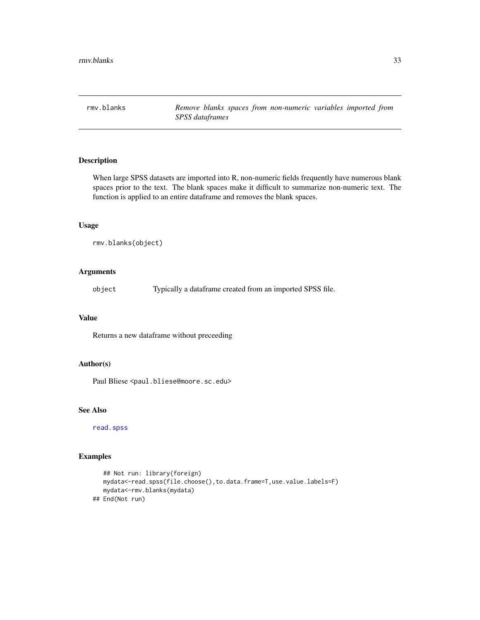<span id="page-32-0"></span>

When large SPSS datasets are imported into R, non-numeric fields frequently have numerous blank spaces prior to the text. The blank spaces make it difficult to summarize non-numeric text. The function is applied to an entire dataframe and removes the blank spaces.

#### Usage

```
rmv.blanks(object)
```
# Arguments

object Typically a dataframe created from an imported SPSS file.

# Value

Returns a new dataframe without preceeding

# Author(s)

Paul Bliese <paul.bliese@moore.sc.edu>

# See Also

[read.spss](#page-0-0)

```
## Not run: library(foreign)
  mydata<-read.spss(file.choose(),to.data.frame=T,use.value.labels=F)
  mydata<-rmv.blanks(mydata)
## End(Not run)
```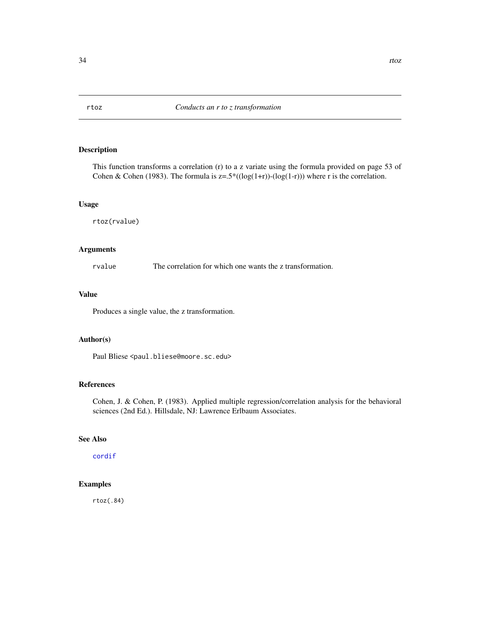<span id="page-33-1"></span><span id="page-33-0"></span>This function transforms a correlation (r) to a z variate using the formula provided on page 53 of Cohen & Cohen (1983). The formula is  $z=5^*((log(1+r))-(log(1-r)))$  where r is the correlation.

# Usage

rtoz(rvalue)

# Arguments

rvalue The correlation for which one wants the z transformation.

# Value

Produces a single value, the z transformation.

# Author(s)

Paul Bliese <paul.bliese@moore.sc.edu>

# References

Cohen, J. & Cohen, P. (1983). Applied multiple regression/correlation analysis for the behavioral sciences (2nd Ed.). Hillsdale, NJ: Lawrence Erlbaum Associates.

# See Also

[cordif](#page-10-1)

# Examples

rtoz(.84)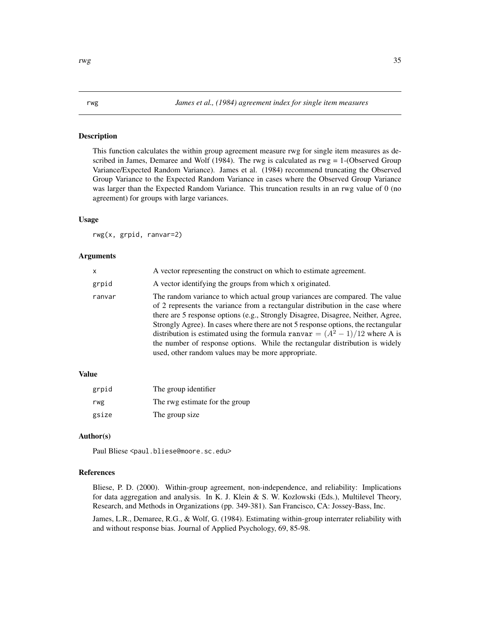<span id="page-34-1"></span><span id="page-34-0"></span>This function calculates the within group agreement measure rwg for single item measures as described in James, Demaree and Wolf (1984). The rwg is calculated as  $rwg = 1$ -(Observed Group Variance/Expected Random Variance). James et al. (1984) recommend truncating the Observed Group Variance to the Expected Random Variance in cases where the Observed Group Variance was larger than the Expected Random Variance. This truncation results in an rwg value of 0 (no agreement) for groups with large variances.

# Usage

rwg(x, grpid, ranvar=2)

#### Arguments

| x      | A vector representing the construct on which to estimate agreement.                                                                                                                                                                                                                                                                                                                                                                                                                                                                                            |
|--------|----------------------------------------------------------------------------------------------------------------------------------------------------------------------------------------------------------------------------------------------------------------------------------------------------------------------------------------------------------------------------------------------------------------------------------------------------------------------------------------------------------------------------------------------------------------|
| grpid  | A vector identifying the groups from which x originated.                                                                                                                                                                                                                                                                                                                                                                                                                                                                                                       |
| ranvar | The random variance to which actual group variances are compared. The value<br>of 2 represents the variance from a rectangular distribution in the case where<br>there are 5 response options (e.g., Strongly Disagree, Disagree, Neither, Agree,<br>Strongly Agree). In cases where there are not 5 response options, the rectangular<br>distribution is estimated using the formula ranvar = $(A^2 - 1)/12$ where A is<br>the number of response options. While the rectangular distribution is widely<br>used, other random values may be more appropriate. |

# Value

| grpid | The group identifier           |
|-------|--------------------------------|
| rwg   | The rwg estimate for the group |
| gsize | The group size                 |

#### Author(s)

Paul Bliese <paul.bliese@moore.sc.edu>

#### References

Bliese, P. D. (2000). Within-group agreement, non-independence, and reliability: Implications for data aggregation and analysis. In K. J. Klein & S. W. Kozlowski (Eds.), Multilevel Theory, Research, and Methods in Organizations (pp. 349-381). San Francisco, CA: Jossey-Bass, Inc.

James, L.R., Demaree, R.G., & Wolf, G. (1984). Estimating within-group interrater reliability with and without response bias. Journal of Applied Psychology, 69, 85-98.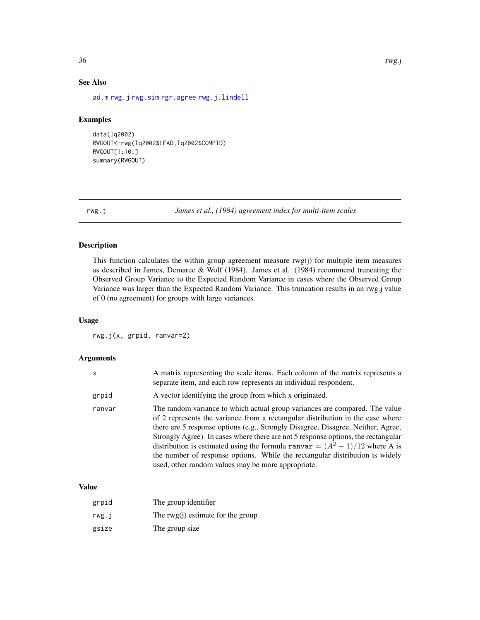# See Also

[ad.m](#page-1-1) [rwg.j](#page-35-1) [rwg.sim](#page-39-1) [rgr.agree](#page-28-1) [rwg.j.lindell](#page-36-1)

#### Examples

```
data(lq2002)
RWGOUT<-rwg(lq2002$LEAD,lq2002$COMPID)
RWGOUT[1:10,]
summary(RWGOUT)
```
<span id="page-35-1"></span>rwg.j *James et al., (1984) agreement index for multi-item scales*

# Description

This function calculates the within group agreement measure rwg(j) for multiple item measures as described in James, Demaree & Wolf (1984). James et al. (1984) recommend truncating the Observed Group Variance to the Expected Random Variance in cases where the Observed Group Variance was larger than the Expected Random Variance. This truncation results in an rwg.j value of 0 (no agreement) for groups with large variances.

# Usage

rwg.j(x, grpid, ranvar=2)

# Arguments

| x      | A matrix representing the scale items. Each column of the matrix represents a<br>separate item, and each row represents an individual respondent.                                                                                                                                                                                                                                                                                                                                                                                                             |
|--------|---------------------------------------------------------------------------------------------------------------------------------------------------------------------------------------------------------------------------------------------------------------------------------------------------------------------------------------------------------------------------------------------------------------------------------------------------------------------------------------------------------------------------------------------------------------|
| grpid  | A vector identifying the group from which x originated.                                                                                                                                                                                                                                                                                                                                                                                                                                                                                                       |
| ranvar | The random variance to which actual group variances are compared. The value<br>of 2 represents the variance from a rectangular distribution in the case where<br>there are 5 response options (e.g., Strongly Disagree, Disagree, Neither, Agree,<br>Strongly Agree). In cases where there are not 5 response options, the rectangular<br>distribution is estimated using the formula ranvar $=(A^{2}-1)/12$ where A is<br>the number of response options. While the rectangular distribution is widely<br>used, other random values may be more appropriate. |

# Value

| grpid | The group identifier                |
|-------|-------------------------------------|
| rwg.i | The $rwg(i)$ estimate for the group |
| gsize | The group size                      |

<span id="page-35-0"></span>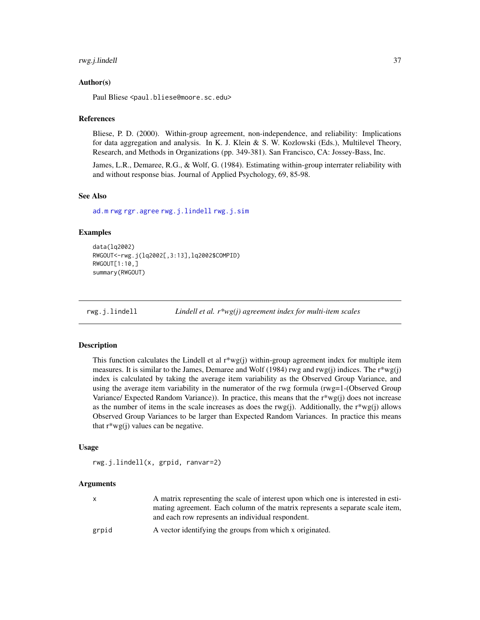# <span id="page-36-0"></span>rwg.j.lindell 37

# Author(s)

Paul Bliese <paul.bliese@moore.sc.edu>

#### **References**

Bliese, P. D. (2000). Within-group agreement, non-independence, and reliability: Implications for data aggregation and analysis. In K. J. Klein & S. W. Kozlowski (Eds.), Multilevel Theory, Research, and Methods in Organizations (pp. 349-381). San Francisco, CA: Jossey-Bass, Inc.

James, L.R., Demaree, R.G., & Wolf, G. (1984). Estimating within-group interrater reliability with and without response bias. Journal of Applied Psychology, 69, 85-98.

#### See Also

[ad.m](#page-1-1) [rwg](#page-34-1) [rgr.agree](#page-28-1) [rwg.j.lindell](#page-36-1) [rwg.j.sim](#page-37-1)

#### Examples

```
data(lq2002)
RWGOUT<-rwg.j(lq2002[,3:13],lq2002$COMPID)
RWGOUT[1:10,]
summary(RWGOUT)
```
<span id="page-36-1"></span>rwg.j.lindell *Lindell et al. r\*wg(j) agreement index for multi-item scales*

#### Description

This function calculates the Lindell et al  $r*wg(j)$  within-group agreement index for multiple item measures. It is similar to the James, Demaree and Wolf (1984) rwg and  $rwg(j)$  indices. The  $r*wg(j)$ index is calculated by taking the average item variability as the Observed Group Variance, and using the average item variability in the numerator of the rwg formula (rwg=1-(Observed Group Variance/ Expected Random Variance)). In practice, this means that the r\*wg(j) does not increase as the number of items in the scale increases as does the rwg(j). Additionally, the  $r^*wg(i)$  allows Observed Group Variances to be larger than Expected Random Variances. In practice this means that  $r^*wg(i)$  values can be negative.

#### Usage

rwg.j.lindell(x, grpid, ranvar=2)

# Arguments

|       | A matrix representing the scale of interest upon which one is interested in esti-<br>mating agreement. Each column of the matrix represents a separate scale item,<br>and each row represents an individual respondent. |
|-------|-------------------------------------------------------------------------------------------------------------------------------------------------------------------------------------------------------------------------|
| grpid | A vector identifying the groups from which x originated.                                                                                                                                                                |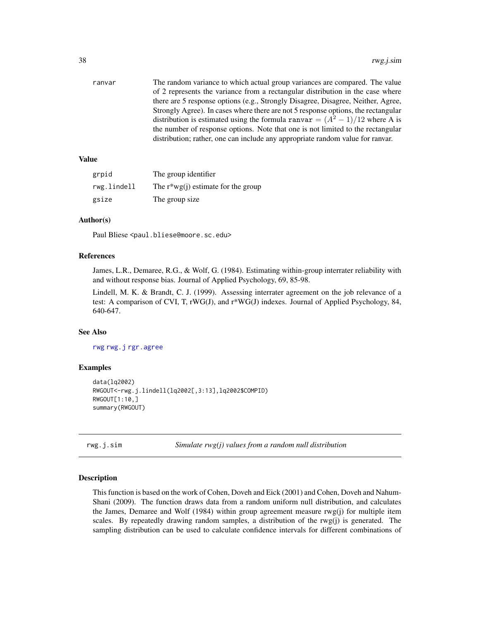<span id="page-37-0"></span>

| ranvar | The random variance to which actual group variances are compared. The value       |
|--------|-----------------------------------------------------------------------------------|
|        | of 2 represents the variance from a rectangular distribution in the case where    |
|        | there are 5 response options (e.g., Strongly Disagree, Disagree, Neither, Agree,  |
|        | Strongly Agree). In cases where there are not 5 response options, the rectangular |
|        | distribution is estimated using the formula ranvar = $(A^2 - 1)/12$ where A is    |
|        | the number of response options. Note that one is not limited to the rectangular   |
|        | distribution; rather, one can include any appropriate random value for ranyar.    |
|        |                                                                                   |

# Value

| grpid       | The group identifier                  |
|-------------|---------------------------------------|
| rwg.lindell | The $r^*wg(i)$ estimate for the group |
| gsize       | The group size                        |

# Author(s)

Paul Bliese <paul.bliese@moore.sc.edu>

### References

James, L.R., Demaree, R.G., & Wolf, G. (1984). Estimating within-group interrater reliability with and without response bias. Journal of Applied Psychology, 69, 85-98.

Lindell, M. K. & Brandt, C. J. (1999). Assessing interrater agreement on the job relevance of a test: A comparison of CVI, T, rWG(J), and r\*WG(J) indexes. Journal of Applied Psychology, 84, 640-647.

# See Also

[rwg](#page-34-1) [rwg.j](#page-35-1) [rgr.agree](#page-28-1)

#### Examples

```
data(lq2002)
RWGOUT<-rwg.j.lindell(lq2002[,3:13],lq2002$COMPID)
RWGOUT[1:10,]
summary(RWGOUT)
```
<span id="page-37-1"></span>rwg.j.sim *Simulate rwg(j) values from a random null distribution*

# Description

This function is based on the work of Cohen, Doveh and Eick (2001) and Cohen, Doveh and Nahum-Shani (2009). The function draws data from a random uniform null distribution, and calculates the James, Demaree and Wolf (1984) within group agreement measure rwg(j) for multiple item scales. By repeatedly drawing random samples, a distribution of the rwg(j) is generated. The sampling distribution can be used to calculate confidence intervals for different combinations of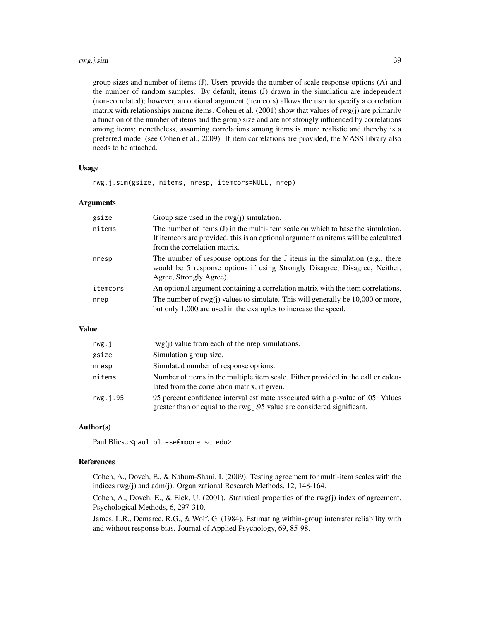#### rwg.j.sim 39

group sizes and number of items (J). Users provide the number of scale response options (A) and the number of random samples. By default, items (J) drawn in the simulation are independent (non-correlated); however, an optional argument (itemcors) allows the user to specify a correlation matrix with relationships among items. Cohen et al.  $(2001)$  show that values of rwg $(i)$  are primarily a function of the number of items and the group size and are not strongly influenced by correlations among items; nonetheless, assuming correlations among items is more realistic and thereby is a preferred model (see Cohen et al., 2009). If item correlations are provided, the MASS library also needs to be attached.

#### Usage

rwg.j.sim(gsize, nitems, nresp, itemcors=NULL, nrep)

#### Arguments

| gsize    | Group size used in the $rwg(i)$ simulation.                                                                                                                                                             |
|----------|---------------------------------------------------------------------------------------------------------------------------------------------------------------------------------------------------------|
| nitems   | The number of items (J) in the multi-item scale on which to base the simulation.<br>If item ors are provided, this is an optional argument as nitems will be calculated<br>from the correlation matrix. |
| nresp    | The number of response options for the J items in the simulation (e.g., there<br>would be 5 response options if using Strongly Disagree, Disagree, Neither,<br>Agree, Strongly Agree).                  |
| itemcors | An optional argument containing a correlation matrix with the item correlations.                                                                                                                        |
| nrep     | The number of $rwg(j)$ values to simulate. This will generally be 10,000 or more,<br>but only 1,000 are used in the examples to increase the speed.                                                     |

# Value

| rwg.j     | $rwg(i)$ value from each of the nrep simulations.                                                                                                            |
|-----------|--------------------------------------------------------------------------------------------------------------------------------------------------------------|
| gsize     | Simulation group size.                                                                                                                                       |
| nresp     | Simulated number of response options.                                                                                                                        |
| nitems    | Number of items in the multiple item scale. Either provided in the call or calcu-<br>lated from the correlation matrix, if given.                            |
| rwg. j.95 | 95 percent confidence interval estimate associated with a p-value of 0.05. Values<br>greater than or equal to the rwg.j.95 value are considered significant. |

#### Author(s)

Paul Bliese <paul.bliese@moore.sc.edu>

#### References

Cohen, A., Doveh, E., & Nahum-Shani, I. (2009). Testing agreement for multi-item scales with the indices rwg(j) and adm(j). Organizational Research Methods, 12, 148-164.

Cohen, A., Doveh, E., & Eick, U. (2001). Statistical properties of the rwg(j) index of agreement. Psychological Methods, 6, 297-310.

James, L.R., Demaree, R.G., & Wolf, G. (1984). Estimating within-group interrater reliability with and without response bias. Journal of Applied Psychology, 69, 85-98.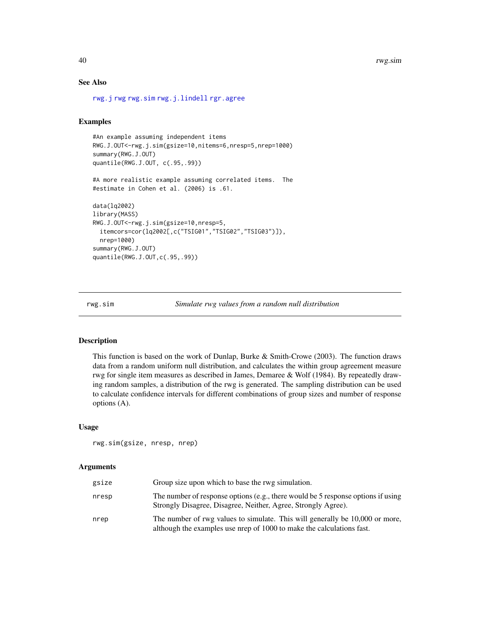# See Also

[rwg.j](#page-35-1) [rwg](#page-34-1) [rwg.sim](#page-39-1) [rwg.j.lindell](#page-36-1) [rgr.agree](#page-28-1)

#### Examples

```
#An example assuming independent items
RWG.J.OUT<-rwg.j.sim(gsize=10,nitems=6,nresp=5,nrep=1000)
summary(RWG.J.OUT)
quantile(RWG.J.OUT, c(.95,.99))
#A more realistic example assuming correlated items. The
#estimate in Cohen et al. (2006) is .61.
data(lq2002)
library(MASS)
RWG.J.OUT<-rwg.j.sim(gsize=10,nresp=5,
 itemcors=cor(lq2002[,c("TSIG01","TSIG02","TSIG03")]),
 nrep=1000)
summary(RWG.J.OUT)
quantile(RWG.J.OUT,c(.95,.99))
```
<span id="page-39-1"></span>rwg.sim *Simulate rwg values from a random null distribution*

#### Description

This function is based on the work of Dunlap, Burke  $\&$  Smith-Crowe (2003). The function draws data from a random uniform null distribution, and calculates the within group agreement measure rwg for single item measures as described in James, Demaree & Wolf (1984). By repeatedly drawing random samples, a distribution of the rwg is generated. The sampling distribution can be used to calculate confidence intervals for different combinations of group sizes and number of response options (A).

#### Usage

rwg.sim(gsize, nresp, nrep)

#### Arguments

| gsize | Group size upon which to base the rwg simulation.                                                                                                     |
|-------|-------------------------------------------------------------------------------------------------------------------------------------------------------|
| nresp | The number of response options (e.g., there would be 5 response options if using<br>Strongly Disagree, Disagree, Neither, Agree, Strongly Agree).     |
| nrep  | The number of rwg values to simulate. This will generally be 10,000 or more,<br>although the examples use nrep of 1000 to make the calculations fast. |

<span id="page-39-0"></span>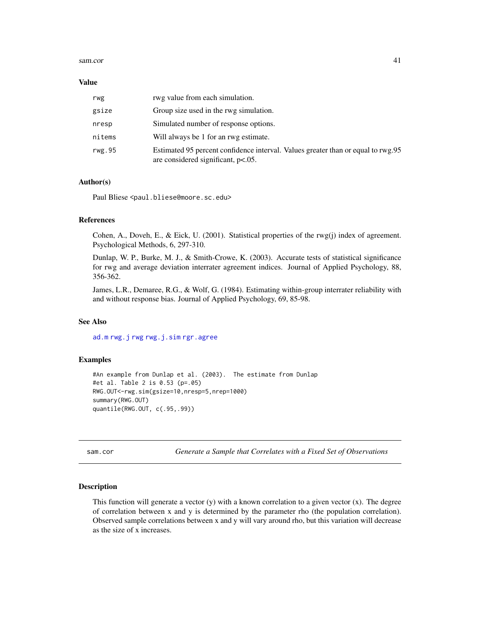#### <span id="page-40-0"></span>sam.cor and the same of the same of the same of the same of the same of the same of the same of the same of the same of the same of the same of the same of the same of the same of the same of the same of the same of the sa

#### Value

| rwg    | rwg value from each simulation.                                                                                           |
|--------|---------------------------------------------------------------------------------------------------------------------------|
| gsize  | Group size used in the rwg simulation.                                                                                    |
| nresp  | Simulated number of response options.                                                                                     |
| nitems | Will always be 1 for an rwg estimate.                                                                                     |
| rwg.95 | Estimated 95 percent confidence interval. Values greater than or equal to rwg.95<br>are considered significant, $p<.05$ . |

# Author(s)

Paul Bliese <paul.bliese@moore.sc.edu>

# References

Cohen, A., Doveh, E., & Eick, U. (2001). Statistical properties of the rwg(j) index of agreement. Psychological Methods, 6, 297-310.

Dunlap, W. P., Burke, M. J., & Smith-Crowe, K. (2003). Accurate tests of statistical significance for rwg and average deviation interrater agreement indices. Journal of Applied Psychology, 88, 356-362.

James, L.R., Demaree, R.G., & Wolf, G. (1984). Estimating within-group interrater reliability with and without response bias. Journal of Applied Psychology, 69, 85-98.

# See Also

[ad.m](#page-1-1) [rwg.j](#page-35-1) [rwg](#page-34-1) [rwg.j.sim](#page-37-1) [rgr.agree](#page-28-1)

#### Examples

```
#An example from Dunlap et al. (2003). The estimate from Dunlap
#et al. Table 2 is 0.53 (p=.05)
RWG.OUT<-rwg.sim(gsize=10,nresp=5,nrep=1000)
summary(RWG.OUT)
quantile(RWG.OUT, c(.95,.99))
```
sam.cor *Generate a Sample that Correlates with a Fixed Set of Observations*

# Description

This function will generate a vector  $(y)$  with a known correlation to a given vector  $(x)$ . The degree of correlation between x and y is determined by the parameter rho (the population correlation). Observed sample correlations between x and y will vary around rho, but this variation will decrease as the size of x increases.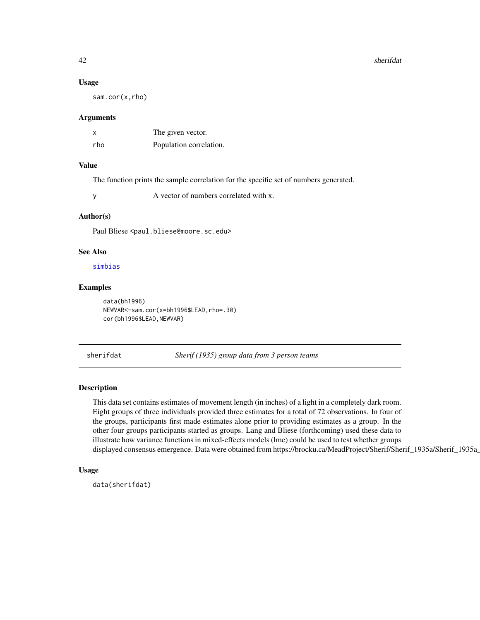#### 42 sherifdat

#### Usage

sam.cor(x,rho)

#### Arguments

| x   | The given vector.       |
|-----|-------------------------|
| rho | Population correlation. |

#### Value

The function prints the sample correlation for the specific set of numbers generated.

y A vector of numbers correlated with x.

#### Author(s)

Paul Bliese <paul.bliese@moore.sc.edu>

# See Also

[simbias](#page-43-1)

# Examples

data(bh1996) NEWVAR<-sam.cor(x=bh1996\$LEAD,rho=.30) cor(bh1996\$LEAD, NEWVAR)

sherifdat *Sherif (1935) group data from 3 person teams*

# Description

This data set contains estimates of movement length (in inches) of a light in a completely dark room. Eight groups of three individuals provided three estimates for a total of 72 observations. In four of the groups, participants first made estimates alone prior to providing estimates as a group. In the other four groups participants started as groups. Lang and Bliese (forthcoming) used these data to illustrate how variance functions in mixed-effects models (lme) could be used to test whether groups displayed consensus emergence. Data were obtained from https://brocku.ca/MeadProject/Sherif/Sherif\_1935a/Sherif\_1935a

# Usage

```
data(sherifdat)
```
<span id="page-41-0"></span>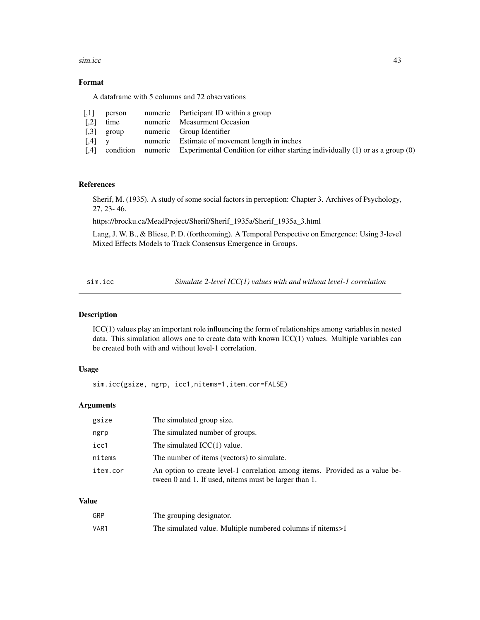<span id="page-42-0"></span>sim.icc 43

# Format

A dataframe with 5 columns and 72 observations

|                     | $[,1]$ person                         | numeric Participant ID within a group                                                                |
|---------------------|---------------------------------------|------------------------------------------------------------------------------------------------------|
| $\lceil .2 \rceil$  | time                                  | numeric Measurment Occasion                                                                          |
| $\left[ .3 \right]$ | group                                 | numeric Group Identifier                                                                             |
|                     | $\begin{bmatrix} 0.4 \end{bmatrix}$ y | numeric Estimate of movement length in inches                                                        |
|                     |                                       | [,4] condition numeric Experimental Condition for either starting individually (1) or as a group (0) |

# References

Sherif, M. (1935). A study of some social factors in perception: Chapter 3. Archives of Psychology, 27, 23- 46.

https://brocku.ca/MeadProject/Sherif/Sherif\_1935a/Sherif\_1935a\_3.html

Lang, J. W. B., & Bliese, P. D. (forthcoming). A Temporal Perspective on Emergence: Using 3-level Mixed Effects Models to Track Consensus Emergence in Groups.

sim.icc *Simulate 2-level ICC(1) values with and without level-1 correlation*

# Description

ICC(1) values play an important role influencing the form of relationships among variables in nested data. This simulation allows one to create data with known ICC(1) values. Multiple variables can be created both with and without level-1 correlation.

#### Usage

sim.icc(gsize, ngrp, icc1,nitems=1,item.cor=FALSE)

# Arguments

| gsize    | The simulated group size.                                                                                                             |
|----------|---------------------------------------------------------------------------------------------------------------------------------------|
| ngrp     | The simulated number of groups.                                                                                                       |
| icc1     | The simulated $ICC(1)$ value.                                                                                                         |
| nitems   | The number of items (vectors) to simulate.                                                                                            |
| item.cor | An option to create level-1 correlation among items. Provided as a value be-<br>tween 0 and 1. If used, nitems must be larger than 1. |

# Value

| GRP  | The grouping designator.                                   |
|------|------------------------------------------------------------|
| VAR1 | The simulated value. Multiple numbered columns if nitems>1 |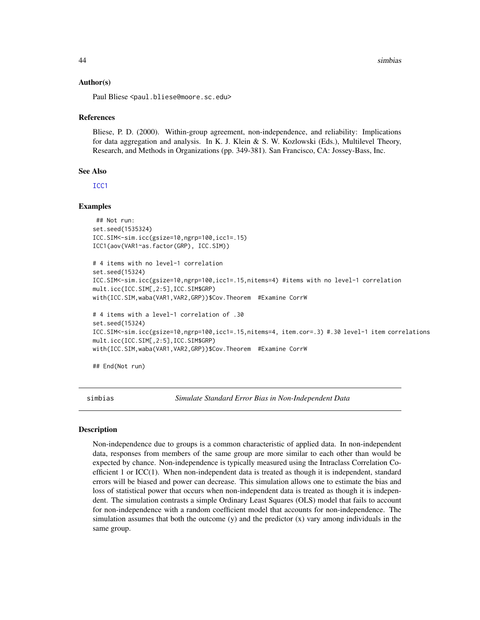#### Author(s)

Paul Bliese <paul.bliese@moore.sc.edu>

#### References

Bliese, P. D. (2000). Within-group agreement, non-independence, and reliability: Implications for data aggregation and analysis. In K. J. Klein & S. W. Kozlowski (Eds.), Multilevel Theory, Research, and Methods in Organizations (pp. 349-381). San Francisco, CA: Jossey-Bass, Inc.

#### See Also

[ICC1](#page-15-1)

#### Examples

```
## Not run:
set.seed(1535324)
ICC.SIM<-sim.icc(gsize=10,ngrp=100,icc1=.15)
ICC1(aov(VAR1~as.factor(GRP), ICC.SIM))
```

```
# 4 items with no level-1 correlation
set.seed(15324)
ICC.SIM<-sim.icc(gsize=10,ngrp=100,icc1=.15,nitems=4) #items with no level-1 correlation
mult.icc(ICC.SIM[,2:5],ICC.SIM$GRP)
with(ICC.SIM,waba(VAR1,VAR2,GRP))$Cov.Theorem #Examine CorrW
```

```
# 4 items with a level-1 correlation of .30
set.seed(15324)
ICC.SIM<-sim.icc(gsize=10,ngrp=100,icc1=.15,nitems=4, item.cor=.3) #.30 level-1 item correlations
mult.icc(ICC.SIM[,2:5],ICC.SIM$GRP)
with(ICC.SIM,waba(VAR1,VAR2,GRP))$Cov.Theorem #Examine CorrW
```
## End(Not run)

<span id="page-43-1"></span>simbias *Simulate Standard Error Bias in Non-Independent Data*

#### Description

Non-independence due to groups is a common characteristic of applied data. In non-independent data, responses from members of the same group are more similar to each other than would be expected by chance. Non-independence is typically measured using the Intraclass Correlation Coefficient 1 or ICC(1). When non-independent data is treated as though it is independent, standard errors will be biased and power can decrease. This simulation allows one to estimate the bias and loss of statistical power that occurs when non-independent data is treated as though it is independent. The simulation contrasts a simple Ordinary Least Squares (OLS) model that fails to account for non-independence with a random coefficient model that accounts for non-independence. The simulation assumes that both the outcome  $(y)$  and the predictor  $(x)$  vary among individuals in the same group.

<span id="page-43-0"></span>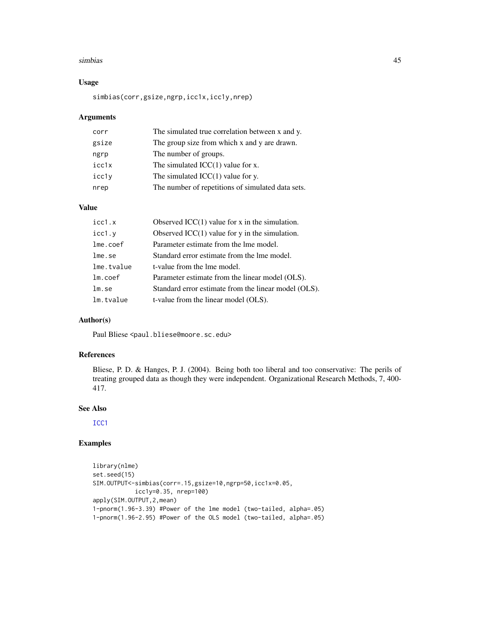#### <span id="page-44-0"></span>simbias 45

# Usage

simbias(corr,gsize,ngrp,icc1x,icc1y,nrep)

# Arguments

| corr  | The simulated true correlation between x and y.   |
|-------|---------------------------------------------------|
| gsize | The group size from which x and y are drawn.      |
| ngrp  | The number of groups.                             |
| icc1x | The simulated $ICC(1)$ value for x.               |
| icc1y | The simulated $ICC(1)$ value for y.               |
| nrep  | The number of repetitions of simulated data sets. |

# Value

| icc1.x     | Observed $ICC(1)$ value for x in the simulation.     |
|------------|------------------------------------------------------|
| icc1.y     | Observed $ICC(1)$ value for y in the simulation.     |
| lme.coef   | Parameter estimate from the lme model.               |
| lme.se     | Standard error estimate from the lme model.          |
| lme.tvalue | t-value from the lme model.                          |
| $lm.c$ oef | Parameter estimate from the linear model (OLS).      |
| lm.se      | Standard error estimate from the linear model (OLS). |
| lm.tvalue  | t-value from the linear model (OLS).                 |

# Author(s)

Paul Bliese <paul.bliese@moore.sc.edu>

# References

Bliese, P. D. & Hanges, P. J. (2004). Being both too liberal and too conservative: The perils of treating grouped data as though they were independent. Organizational Research Methods, 7, 400- 417.

# See Also

[ICC1](#page-15-1)

```
library(nlme)
set.seed(15)
SIM.OUTPUT<-simbias(corr=.15,gsize=10,ngrp=50,icc1x=0.05,
            icc1y=0.35, nrep=100)
apply(SIM.OUTPUT,2,mean)
1-pnorm(1.96-3.39) #Power of the lme model (two-tailed, alpha=.05)
1-pnorm(1.96-2.95) #Power of the OLS model (two-tailed, alpha=.05)
```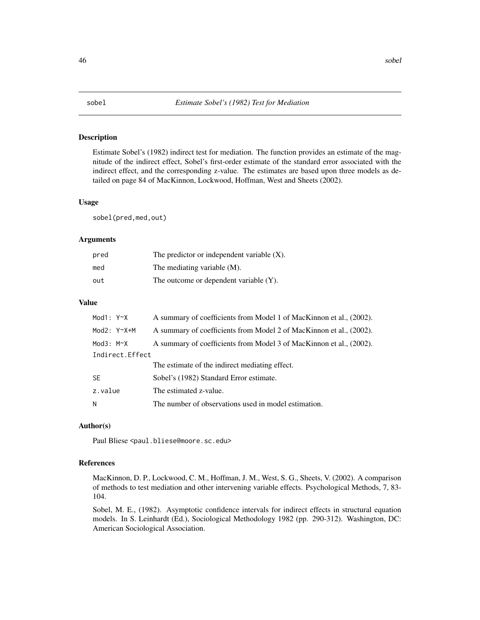<span id="page-45-0"></span>

Estimate Sobel's (1982) indirect test for mediation. The function provides an estimate of the magnitude of the indirect effect, Sobel's first-order estimate of the standard error associated with the indirect effect, and the corresponding z-value. The estimates are based upon three models as detailed on page 84 of MacKinnon, Lockwood, Hoffman, West and Sheets (2002).

#### Usage

sobel(pred,med,out)

# Arguments

| pred | The predictor or independent variable $(X)$ . |
|------|-----------------------------------------------|
| med  | The mediating variable $(M)$ .                |
| out  | The outcome or dependent variable $(Y)$ .     |

# Value

| Mod1: Y~X         | A summary of coefficients from Model 1 of MacKinnon et al., (2002). |
|-------------------|---------------------------------------------------------------------|
| Mod $2: Y^X+M$    | A summary of coefficients from Model 2 of MacKinnon et al., (2002). |
| Mod $3: M \sim X$ | A summary of coefficients from Model 3 of MacKinnon et al., (2002). |
| Indirect. Effect  |                                                                     |
|                   | The estimate of the indirect mediating effect.                      |
| SF.               | Sobel's (1982) Standard Error estimate.                             |
| z.value           | The estimated z-value.                                              |
| N                 | The number of observations used in model estimation.                |

# Author(s)

Paul Bliese <paul.bliese@moore.sc.edu>

#### References

MacKinnon, D. P., Lockwood, C. M., Hoffman, J. M., West, S. G., Sheets, V. (2002). A comparison of methods to test mediation and other intervening variable effects. Psychological Methods, 7, 83- 104.

Sobel, M. E., (1982). Asymptotic confidence intervals for indirect effects in structural equation models. In S. Leinhardt (Ed.), Sociological Methodology 1982 (pp. 290-312). Washington, DC: American Sociological Association.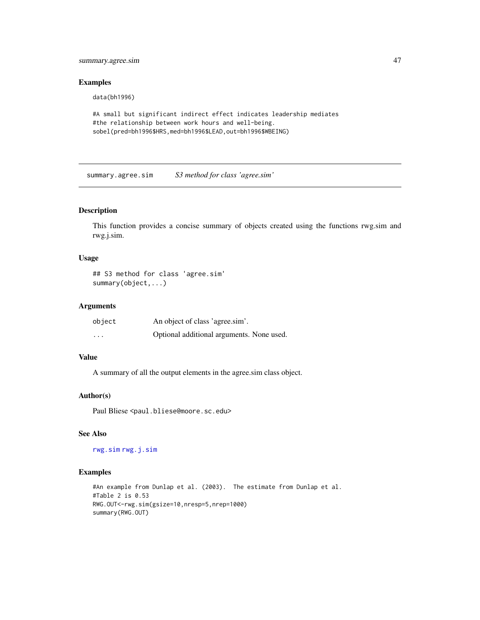<span id="page-46-0"></span>summary.agree.sim 47

# Examples

data(bh1996)

```
#A small but significant indirect effect indicates leadership mediates
#the relationship between work hours and well-being.
sobel(pred=bh1996$HRS,med=bh1996$LEAD,out=bh1996$WBEING)
```
summary.agree.sim *S3 method for class 'agree.sim'*

# Description

This function provides a concise summary of objects created using the functions rwg.sim and rwg.j.sim.

# Usage

```
## S3 method for class 'agree.sim'
summary(object,...)
```
# Arguments

| object                  | An object of class 'agree.sim'.           |
|-------------------------|-------------------------------------------|
| $\cdot$ $\cdot$ $\cdot$ | Optional additional arguments. None used. |

# Value

A summary of all the output elements in the agree.sim class object.

# Author(s)

Paul Bliese <paul.bliese@moore.sc.edu>

# See Also

[rwg.sim](#page-39-1) [rwg.j.sim](#page-37-1)

```
#An example from Dunlap et al. (2003). The estimate from Dunlap et al.
#Table 2 is 0.53
RWG.OUT<-rwg.sim(gsize=10,nresp=5,nrep=1000)
summary(RWG.OUT)
```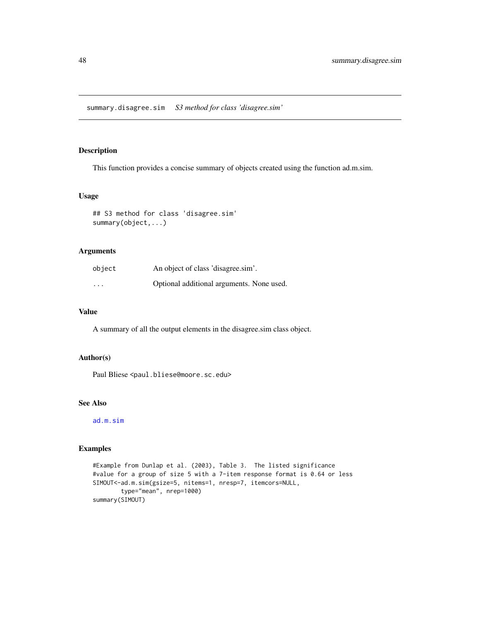<span id="page-47-0"></span>summary.disagree.sim *S3 method for class 'disagree.sim'*

# Description

This function provides a concise summary of objects created using the function ad.m.sim.

#### Usage

```
## S3 method for class 'disagree.sim'
summary(object,...)
```
# Arguments

| object   | An object of class 'disagree.sim'.        |
|----------|-------------------------------------------|
| $\cdots$ | Optional additional arguments. None used. |

# Value

A summary of all the output elements in the disagree.sim class object.

# Author(s)

Paul Bliese <paul.bliese@moore.sc.edu>

# See Also

[ad.m.sim](#page-3-1)

```
#Example from Dunlap et al. (2003), Table 3. The listed significance
#value for a group of size 5 with a 7-item response format is 0.64 or less
SIMOUT<-ad.m.sim(gsize=5, nitems=1, nresp=7, itemcors=NULL,
       type="mean", nrep=1000)
summary(SIMOUT)
```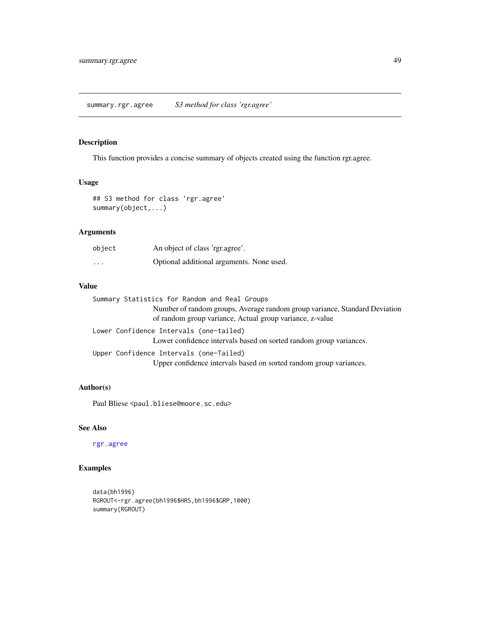<span id="page-48-0"></span>summary.rgr.agree *S3 method for class 'rgr.agree'*

# Description

This function provides a concise summary of objects created using the function rgr.agree.

# Usage

```
## S3 method for class 'rgr.agree'
summary(object,...)
```
# Arguments

| object   | An object of class 'rgr.agree'.           |
|----------|-------------------------------------------|
| $\cdots$ | Optional additional arguments. None used. |

# Value

| Summary Statistics for Random and Real Groups                                                                                          |
|----------------------------------------------------------------------------------------------------------------------------------------|
| Number of random groups, Average random group variance, Standard Deviation<br>of random group variance, Actual group variance, z-value |
| Lower Confidence Intervals (one-tailed)<br>Lower confidence intervals based on sorted random group variances.                          |
| Upper Confidence Intervals (one-Tailed)<br>Upper confidence intervals based on sorted random group variances.                          |
|                                                                                                                                        |

# Author(s)

Paul Bliese <paul.bliese@moore.sc.edu>

# See Also

[rgr.agree](#page-28-1)

```
data(bh1996)
RGROUT<-rgr.agree(bh1996$HRS,bh1996$GRP,1000)
summary(RGROUT)
```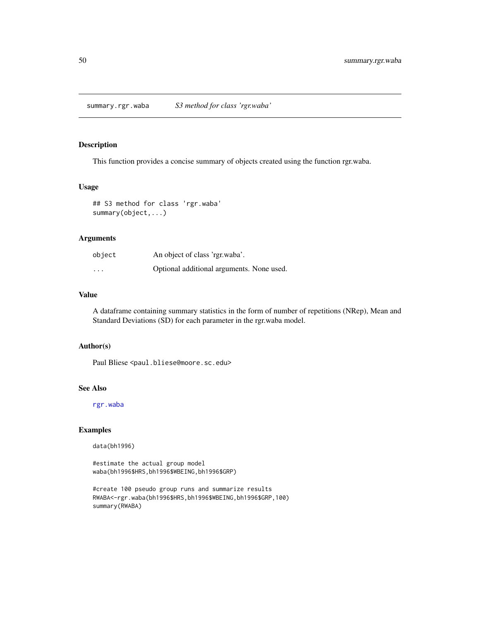<span id="page-49-0"></span>summary.rgr.waba *S3 method for class 'rgr.waba'*

# Description

This function provides a concise summary of objects created using the function rgr.waba.

# Usage

## S3 method for class 'rgr.waba' summary(object,...)

# Arguments

| object                  | An object of class 'rgr.waba'.            |
|-------------------------|-------------------------------------------|
| $\cdot$ $\cdot$ $\cdot$ | Optional additional arguments. None used. |

# Value

A dataframe containing summary statistics in the form of number of repetitions (NRep), Mean and Standard Deviations (SD) for each parameter in the rgr.waba model.

# Author(s)

Paul Bliese <paul.bliese@moore.sc.edu>

# See Also

[rgr.waba](#page-30-1)

# Examples

data(bh1996)

#estimate the actual group model waba(bh1996\$HRS,bh1996\$WBEING,bh1996\$GRP)

```
#create 100 pseudo group runs and summarize results
RWABA<-rgr.waba(bh1996$HRS,bh1996$WBEING,bh1996$GRP,100)
summary(RWABA)
```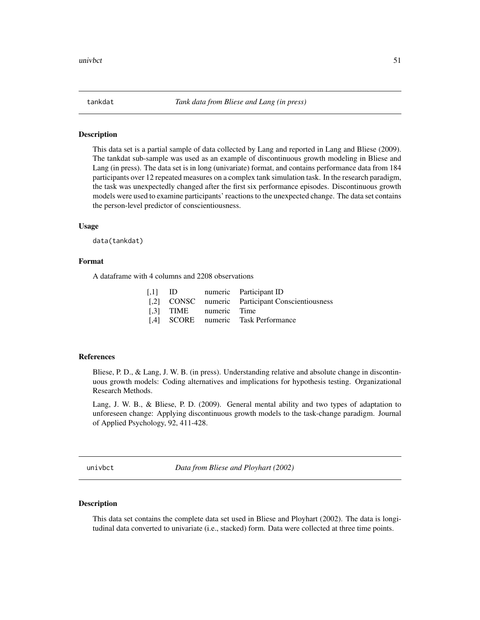<span id="page-50-0"></span>

This data set is a partial sample of data collected by Lang and reported in Lang and Bliese (2009). The tankdat sub-sample was used as an example of discontinuous growth modeling in Bliese and Lang (in press). The data set is in long (univariate) format, and contains performance data from 184 participants over 12 repeated measures on a complex tank simulation task. In the research paradigm, the task was unexpectedly changed after the first six performance episodes. Discontinuous growth models were used to examine participants' reactions to the unexpected change. The data set contains the person-level predictor of conscientiousness.

#### Usage

data(tankdat)

# Format

A dataframe with 4 columns and 2208 observations

|                        | [,1] ID numeric Participant ID                   |
|------------------------|--------------------------------------------------|
|                        | [,2] CONSC numeric Participant Conscientiousness |
| [.3] TIME numeric Time |                                                  |
|                        | [,4] SCORE numeric Task Performance              |

#### References

Bliese, P. D., & Lang, J. W. B. (in press). Understanding relative and absolute change in discontinuous growth models: Coding alternatives and implications for hypothesis testing. Organizational Research Methods.

Lang, J. W. B., & Bliese, P. D. (2009). General mental ability and two types of adaptation to unforeseen change: Applying discontinuous growth models to the task-change paradigm. Journal of Applied Psychology, 92, 411-428.

univbct *Data from Bliese and Ployhart (2002)*

#### Description

This data set contains the complete data set used in Bliese and Ployhart (2002). The data is longitudinal data converted to univariate (i.e., stacked) form. Data were collected at three time points.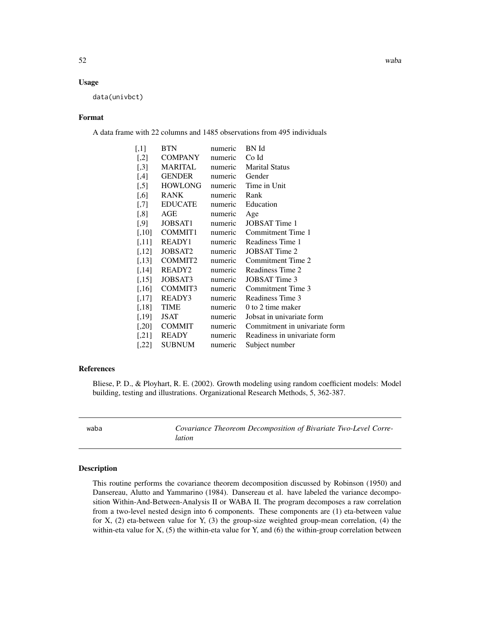#### <span id="page-51-0"></span>Usage

data(univbct)

#### Format

A data frame with 22 columns and 1485 observations from 495 individuals

| $[$ | <b>BTN</b>                | numeric        | BN Id                         |
|-----|---------------------------|----------------|-------------------------------|
|     | $[2]$ COMPANY             | numeric Co Id  |                               |
|     | [,3] MARITAL              |                | numeric Marital Status        |
|     | $[4]$ GENDER              | numeric Gender |                               |
|     | [,5] HOWLONG              |                | numeric Time in Unit          |
|     | $[0.6]$ RANK              | numeric        | Rank                          |
|     | [,7] EDUCATE              |                | numeric Education             |
|     | $[0.8]$ AGE               | numeric        | Age                           |
|     | $[0.9]$ JOBSAT1           | numeric        | <b>JOBSAT</b> Time 1          |
|     | $[,10]$ COMMIT1           |                | numeric Commitment Time 1     |
|     | $[,11]$ READY1            |                | numeric Readiness Time 1      |
|     | $[,12]$ JOBSAT2           | numeric        | JOBSAT Time 2                 |
|     | $[,13]$ COMMIT2           |                | numeric Commitment Time 2     |
|     | $[,14]$ READY2            | numeric        | Readiness Time 2              |
|     | $[,15]$ JOBSAT3           | numeric        | JOBSAT Time 3                 |
|     | $\left[16\right]$ COMMIT3 | numeric        | Commitment Time 3             |
|     | $[,17]$ READY3            | numeric        | Readiness Time 3              |
|     | $[0.18]$ TIME             | numeric        | 0 to 2 time maker             |
|     | $[0.19]$ JSAT             | numeric        | Jobsat in univariate form     |
|     | $[$ ,20] COMMIT           | numeric        | Commitment in univariate form |
|     | $[21]$ READY              | numeric        | Readiness in univariate form  |
|     | $[$ ,22 $]$ SUBNUM        | numeric        | Subject number                |

#### References

Bliese, P. D., & Ployhart, R. E. (2002). Growth modeling using random coefficient models: Model building, testing and illustrations. Organizational Research Methods, 5, 362-387.

<span id="page-51-1"></span>waba *Covariance Theoreom Decomposition of Bivariate Two-Level Correlation*

#### Description

This routine performs the covariance theorem decomposition discussed by Robinson (1950) and Dansereau, Alutto and Yammarino (1984). Dansereau et al. have labeled the variance decomposition Within-And-Between-Analysis II or WABA II. The program decomposes a raw correlation from a two-level nested design into 6 components. These components are (1) eta-between value for X, (2) eta-between value for Y, (3) the group-size weighted group-mean correlation, (4) the within-eta value for X,  $(5)$  the within-eta value for Y, and  $(6)$  the within-group correlation between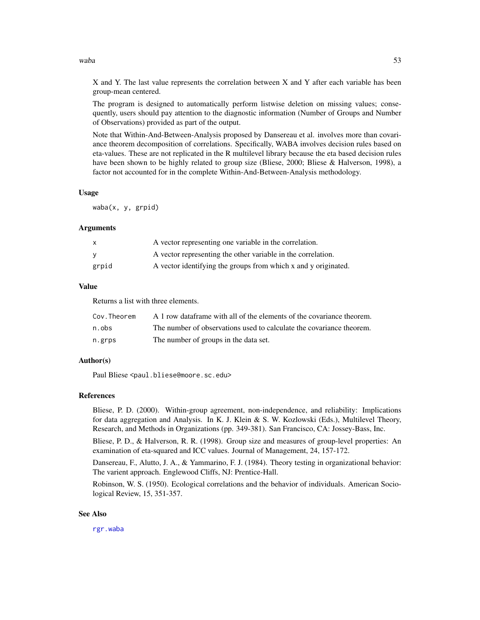<span id="page-52-0"></span>waba 53

X and Y. The last value represents the correlation between X and Y after each variable has been group-mean centered.

The program is designed to automatically perform listwise deletion on missing values; consequently, users should pay attention to the diagnostic information (Number of Groups and Number of Observations) provided as part of the output.

Note that Within-And-Between-Analysis proposed by Dansereau et al. involves more than covariance theorem decomposition of correlations. Specifically, WABA involves decision rules based on eta-values. These are not replicated in the R multilevel library because the eta based decision rules have been shown to be highly related to group size (Bliese, 2000; Bliese & Halverson, 1998), a factor not accounted for in the complete Within-And-Between-Analysis methodology.

#### Usage

waba(x, y, grpid)

# Arguments

| X        | A vector representing one variable in the correlation.         |
|----------|----------------------------------------------------------------|
| <b>V</b> | A vector representing the other variable in the correlation.   |
| grpid    | A vector identifying the groups from which x and y originated. |

# Value

Returns a list with three elements.

| Cov.Theorem | A 1 row dataframe with all of the elements of the covariance theorem. |
|-------------|-----------------------------------------------------------------------|
| n.obs       | The number of observations used to calculate the covariance theorem.  |
| n.grps      | The number of groups in the data set.                                 |

# Author(s)

Paul Bliese <paul.bliese@moore.sc.edu>

# References

Bliese, P. D. (2000). Within-group agreement, non-independence, and reliability: Implications for data aggregation and Analysis. In K. J. Klein & S. W. Kozlowski (Eds.), Multilevel Theory, Research, and Methods in Organizations (pp. 349-381). San Francisco, CA: Jossey-Bass, Inc.

Bliese, P. D., & Halverson, R. R. (1998). Group size and measures of group-level properties: An examination of eta-squared and ICC values. Journal of Management, 24, 157-172.

Dansereau, F., Alutto, J. A., & Yammarino, F. J. (1984). Theory testing in organizational behavior: The varient approach. Englewood Cliffs, NJ: Prentice-Hall.

Robinson, W. S. (1950). Ecological correlations and the behavior of individuals. American Sociological Review, 15, 351-357.

#### See Also

[rgr.waba](#page-30-1)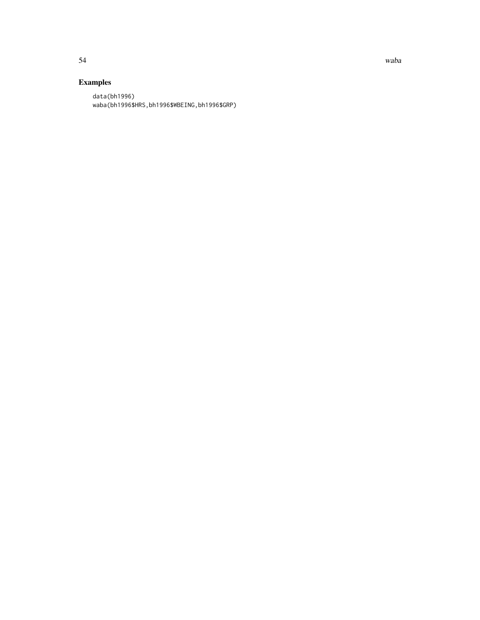54 waba

# Examples

data(bh1996) waba(bh1996\$HRS,bh1996\$WBEING,bh1996\$GRP)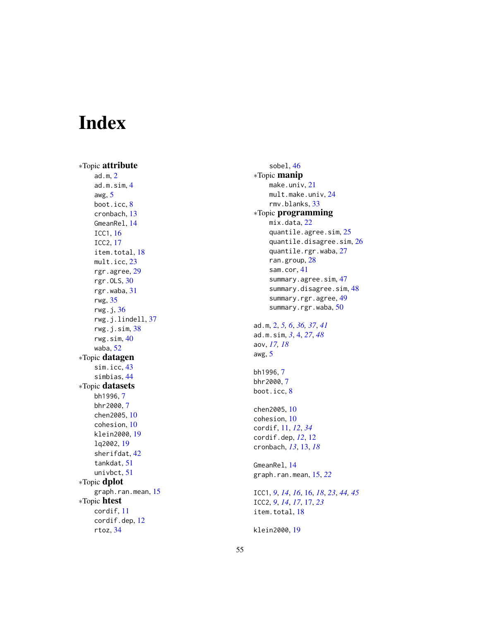# <span id="page-54-0"></span>Index

∗Topic attribute ad.m , [2](#page-1-0) ad.m.sim , [4](#page-3-0) awg , [5](#page-4-0) boot.icc, [8](#page-7-0) cronbach , [13](#page-12-0) GmeanRel , [14](#page-13-0) ICC1 , [16](#page-15-0) ICC2 , [17](#page-16-0) item.total, [18](#page-17-0) mult.icc, [23](#page-22-0) rgr.agree , [29](#page-28-0) rgr.OLS , [30](#page-29-0) rgr.waba , [31](#page-30-0) rwg , [35](#page-34-0) rwg.j , [36](#page-35-0) rwg.j.lindell , [37](#page-36-0) rwg.j.sim , [38](#page-37-0) rwg.sim , [40](#page-39-0) waba , [52](#page-51-0) ∗Topic datagen sim.icc , [43](#page-42-0) simbias , [44](#page-43-0) ∗Topic datasets bh1996 , [7](#page-6-0) bhr2000 , [7](#page-6-0) chen2005 , [10](#page-9-0) cohesion , [10](#page-9-0) klein2000 , [19](#page-18-0) lq2002 , [19](#page-18-0) sherifdat , [42](#page-41-0) tankdat , [51](#page-50-0) univbct , [51](#page-50-0) ∗Topic dplot graph.ran.mean, [15](#page-14-0) ∗Topic htest cordif , [11](#page-10-0) cordif.dep , [12](#page-11-0) rtoz , [34](#page-33-0)

sobel , [46](#page-45-0) ∗Topic manip make.univ , [21](#page-20-0) mult.make.univ , [24](#page-23-0) rmv.blanks , [33](#page-32-0) ∗Topic programming mix.data, [22](#page-21-0) quantile.agree.sim, [25](#page-24-0) quantile.disagree.sim, $26\,$  $26\,$ quantile.rgr.waba , [27](#page-26-0) ran.group , [28](#page-27-0) sam.cor , [41](#page-40-0) summary.agree.sim, [47](#page-46-0) summary.disagree.sim, [48](#page-47-0) summary.rgr.agree , [49](#page-48-0) summary.rgr.waba, [50](#page-49-0) ad.m , [2](#page-1-0) , *[5](#page-4-0) , [6](#page-5-0)* , *[36,](#page-35-0) [37](#page-36-0)* , *[41](#page-40-0)* ad.m.sim , *[3](#page-2-0)* , [4](#page-3-0) , *[27](#page-26-0)* , *[48](#page-47-0)* aov , *[17,](#page-16-0) [18](#page-17-0)* awg , [5](#page-4-0) bh1996 , [7](#page-6-0) bhr2000 , [7](#page-6-0) boot.icc, [8](#page-7-0) chen2005 , [10](#page-9-0) cohesion , [10](#page-9-0) cordif , [11](#page-10-0) , *[12](#page-11-0)* , *[34](#page-33-0)* cordif.dep , *[12](#page-11-0)* , [12](#page-11-0) cronbach , *[13](#page-12-0)* , [13](#page-12-0) , *[18](#page-17-0)* GmeanRel , [14](#page-13-0) graph.ran.mean , [15](#page-14-0) , *[22](#page-21-0)* ICC1 , *[9](#page-8-0)* , *[14](#page-13-0)* , *[16](#page-15-0)* , [16](#page-15-0) , *[18](#page-17-0)* , *[23](#page-22-0)* , *[44](#page-43-0) , [45](#page-44-0)* ICC2 , *[9](#page-8-0)* , *[14](#page-13-0)* , *[17](#page-16-0)* , [17](#page-16-0) , *[23](#page-22-0)* item.total, [18](#page-17-0)

55

klein2000 , [19](#page-18-0)